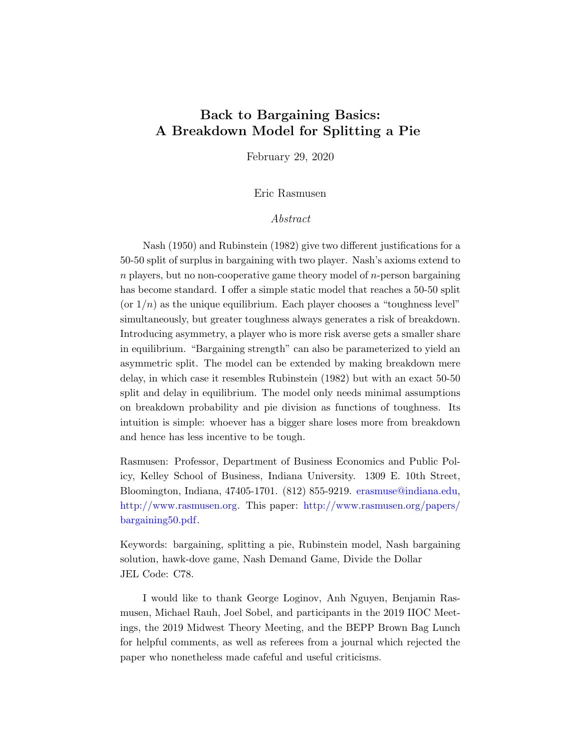# <span id="page-0-0"></span>Back to Bargaining Basics: A Breakdown Model for Splitting a Pie

February 29, 2020

Eric Rasmusen

## Abstract

Nash (1950) and Rubinstein (1982) give two different justifications for a 50-50 split of surplus in bargaining with two player. Nash's axioms extend to  $n$  players, but no non-cooperative game theory model of  $n$ -person bargaining has become standard. I offer a simple static model that reaches a 50-50 split (or  $1/n$ ) as the unique equilibrium. Each player chooses a "toughness level" simultaneously, but greater toughness always generates a risk of breakdown. Introducing asymmetry, a player who is more risk averse gets a smaller share in equilibrium. "Bargaining strength" can also be parameterized to yield an asymmetric split. The model can be extended by making breakdown mere delay, in which case it resembles Rubinstein (1982) but with an exact 50-50 split and delay in equilibrium. The model only needs minimal assumptions on breakdown probability and pie division as functions of toughness. Its intuition is simple: whoever has a bigger share loses more from breakdown and hence has less incentive to be tough.

Rasmusen: Professor, Department of Business Economics and Public Policy, Kelley School of Business, Indiana University. 1309 E. 10th Street, Bloomington, Indiana, 47405-1701. (812) 855-9219. [erasmuse@indiana.edu,](mailto:erasmuse@indiana.edu) [http://www.rasmusen.org.](http://www.rasmusen.org) This paper: [http://www.rasmusen.org/papers/](http://www.rasmusen.org/papers/bargaining50.pdf) [bargaining50.pdf.](http://www.rasmusen.org/papers/bargaining50.pdf)

Keywords: bargaining, splitting a pie, Rubinstein model, Nash bargaining solution, hawk-dove game, Nash Demand Game, Divide the Dollar JEL Code: C78.

I would like to thank George Loginov, Anh Nguyen, Benjamin Rasmusen, Michael Rauh, Joel Sobel, and participants in the 2019 IIOC Meetings, the 2019 Midwest Theory Meeting, and the BEPP Brown Bag Lunch for helpful comments, as well as referees from a journal which rejected the paper who nonetheless made cafeful and useful criticisms.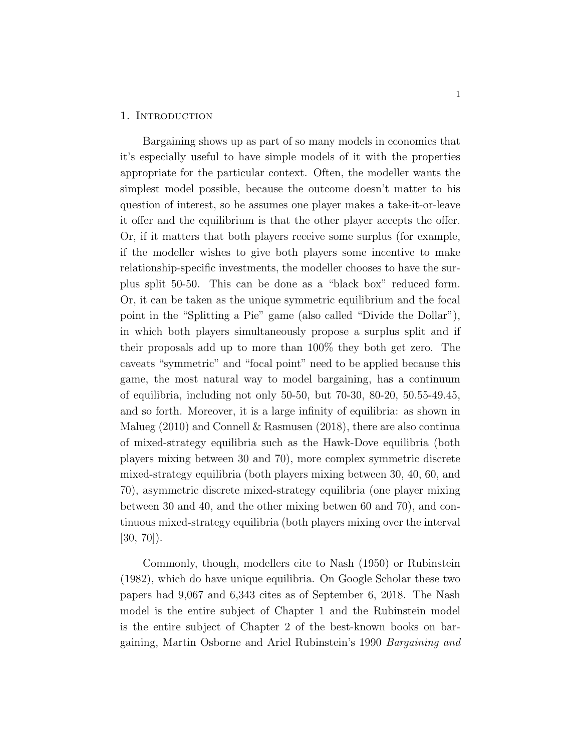#### 1. INTRODUCTION

Bargaining shows up as part of so many models in economics that it's especially useful to have simple models of it with the properties appropriate for the particular context. Often, the modeller wants the simplest model possible, because the outcome doesn't matter to his question of interest, so he assumes one player makes a take-it-or-leave it offer and the equilibrium is that the other player accepts the offer. Or, if it matters that both players receive some surplus (for example, if the modeller wishes to give both players some incentive to make relationship-specific investments, the modeller chooses to have the surplus split 50-50. This can be done as a "black box" reduced form. Or, it can be taken as the unique symmetric equilibrium and the focal point in the "Splitting a Pie" game (also called "Divide the Dollar"), in which both players simultaneously propose a surplus split and if their proposals add up to more than 100% they both get zero. The caveats "symmetric" and "focal point" need to be applied because this game, the most natural way to model bargaining, has a continuum of equilibria, including not only 50-50, but 70-30, 80-20, 50.55-49.45, and so forth. Moreover, it is a large infinity of equilibria: as shown in Malueg (2010) and Connell & Rasmusen (2018), there are also continua of mixed-strategy equilibria such as the Hawk-Dove equilibria (both players mixing between 30 and 70), more complex symmetric discrete mixed-strategy equilibria (both players mixing between 30, 40, 60, and 70), asymmetric discrete mixed-strategy equilibria (one player mixing between 30 and 40, and the other mixing betwen 60 and 70), and continuous mixed-strategy equilibria (both players mixing over the interval  $[30, 70]$ .

Commonly, though, modellers cite to Nash (1950) or Rubinstein (1982), which do have unique equilibria. On Google Scholar these two papers had 9,067 and 6,343 cites as of September 6, 2018. The Nash model is the entire subject of Chapter 1 and the Rubinstein model is the entire subject of Chapter 2 of the best-known books on bargaining, Martin Osborne and Ariel Rubinstein's 1990 Bargaining and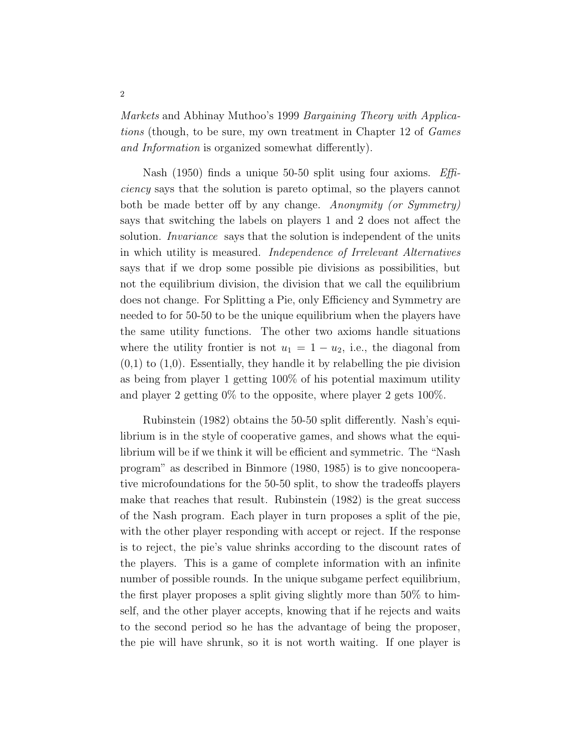Markets and Abhinay Muthoo's 1999 Bargaining Theory with Applications (though, to be sure, my own treatment in Chapter 12 of Games and Information is organized somewhat differently).

Nash (1950) finds a unique 50-50 split using four axioms. Efficiency says that the solution is pareto optimal, so the players cannot both be made better off by any change. Anonymity (or Symmetry) says that switching the labels on players 1 and 2 does not affect the solution. *Invariance* says that the solution is independent of the units in which utility is measured. Independence of Irrelevant Alternatives says that if we drop some possible pie divisions as possibilities, but not the equilibrium division, the division that we call the equilibrium does not change. For Splitting a Pie, only Efficiency and Symmetry are needed to for 50-50 to be the unique equilibrium when the players have the same utility functions. The other two axioms handle situations where the utility frontier is not  $u_1 = 1 - u_2$ , i.e., the diagonal from  $(0,1)$  to  $(1,0)$ . Essentially, they handle it by relabelling the pie division as being from player 1 getting 100% of his potential maximum utility and player 2 getting 0% to the opposite, where player 2 gets 100%.

Rubinstein (1982) obtains the 50-50 split differently. Nash's equilibrium is in the style of cooperative games, and shows what the equilibrium will be if we think it will be efficient and symmetric. The "Nash program" as described in Binmore (1980, 1985) is to give noncooperative microfoundations for the 50-50 split, to show the tradeoffs players make that reaches that result. Rubinstein (1982) is the great success of the Nash program. Each player in turn proposes a split of the pie, with the other player responding with accept or reject. If the response is to reject, the pie's value shrinks according to the discount rates of the players. This is a game of complete information with an infinite number of possible rounds. In the unique subgame perfect equilibrium, the first player proposes a split giving slightly more than  $50\%$  to himself, and the other player accepts, knowing that if he rejects and waits to the second period so he has the advantage of being the proposer, the pie will have shrunk, so it is not worth waiting. If one player is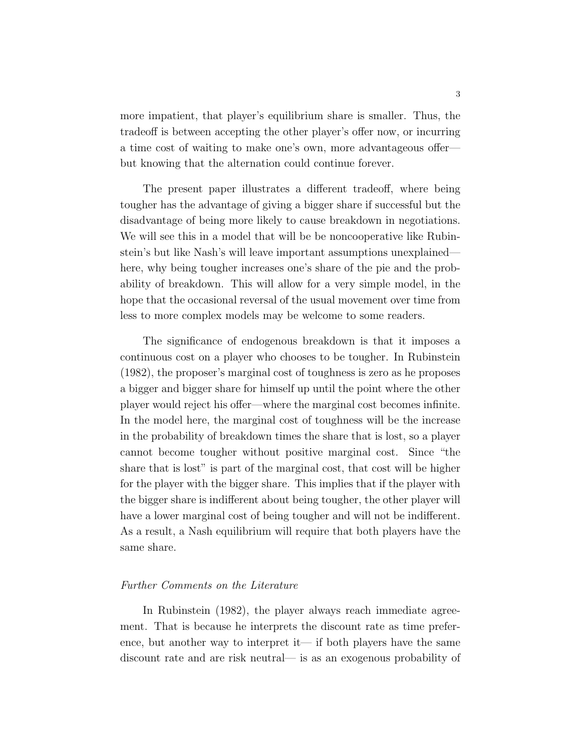more impatient, that player's equilibrium share is smaller. Thus, the tradeoff is between accepting the other player's offer now, or incurring a time cost of waiting to make one's own, more advantageous offer but knowing that the alternation could continue forever.

The present paper illustrates a different tradeoff, where being tougher has the advantage of giving a bigger share if successful but the disadvantage of being more likely to cause breakdown in negotiations. We will see this in a model that will be be noncooperative like Rubinstein's but like Nash's will leave important assumptions unexplained here, why being tougher increases one's share of the pie and the probability of breakdown. This will allow for a very simple model, in the hope that the occasional reversal of the usual movement over time from less to more complex models may be welcome to some readers.

The significance of endogenous breakdown is that it imposes a continuous cost on a player who chooses to be tougher. In Rubinstein (1982), the proposer's marginal cost of toughness is zero as he proposes a bigger and bigger share for himself up until the point where the other player would reject his offer—where the marginal cost becomes infinite. In the model here, the marginal cost of toughness will be the increase in the probability of breakdown times the share that is lost, so a player cannot become tougher without positive marginal cost. Since "the share that is lost" is part of the marginal cost, that cost will be higher for the player with the bigger share. This implies that if the player with the bigger share is indifferent about being tougher, the other player will have a lower marginal cost of being tougher and will not be indifferent. As a result, a Nash equilibrium will require that both players have the same share.

#### Further Comments on the Literature

In Rubinstein (1982), the player always reach immediate agreement. That is because he interprets the discount rate as time preference, but another way to interpret it— if both players have the same discount rate and are risk neutral— is as an exogenous probability of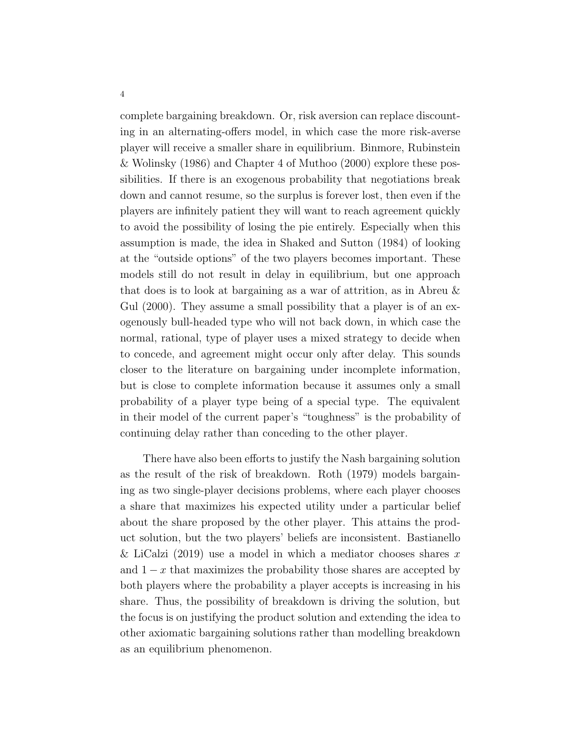complete bargaining breakdown. Or, risk aversion can replace discounting in an alternating-offers model, in which case the more risk-averse player will receive a smaller share in equilibrium. Binmore, Rubinstein & Wolinsky (1986) and Chapter 4 of Muthoo (2000) explore these possibilities. If there is an exogenous probability that negotiations break down and cannot resume, so the surplus is forever lost, then even if the players are infinitely patient they will want to reach agreement quickly to avoid the possibility of losing the pie entirely. Especially when this assumption is made, the idea in Shaked and Sutton (1984) of looking at the "outside options" of the two players becomes important. These models still do not result in delay in equilibrium, but one approach that does is to look at bargaining as a war of attrition, as in Abreu & Gul (2000). They assume a small possibility that a player is of an exogenously bull-headed type who will not back down, in which case the normal, rational, type of player uses a mixed strategy to decide when to concede, and agreement might occur only after delay. This sounds closer to the literature on bargaining under incomplete information, but is close to complete information because it assumes only a small probability of a player type being of a special type. The equivalent in their model of the current paper's "toughness" is the probability of continuing delay rather than conceding to the other player.

There have also been efforts to justify the Nash bargaining solution as the result of the risk of breakdown. Roth (1979) models bargaining as two single-player decisions problems, where each player chooses a share that maximizes his expected utility under a particular belief about the share proposed by the other player. This attains the product solution, but the two players' beliefs are inconsistent. Bastianello & LiCalzi (2019) use a model in which a mediator chooses shares x and  $1 - x$  that maximizes the probability those shares are accepted by both players where the probability a player accepts is increasing in his share. Thus, the possibility of breakdown is driving the solution, but the focus is on justifying the product solution and extending the idea to other axiomatic bargaining solutions rather than modelling breakdown as an equilibrium phenomenon.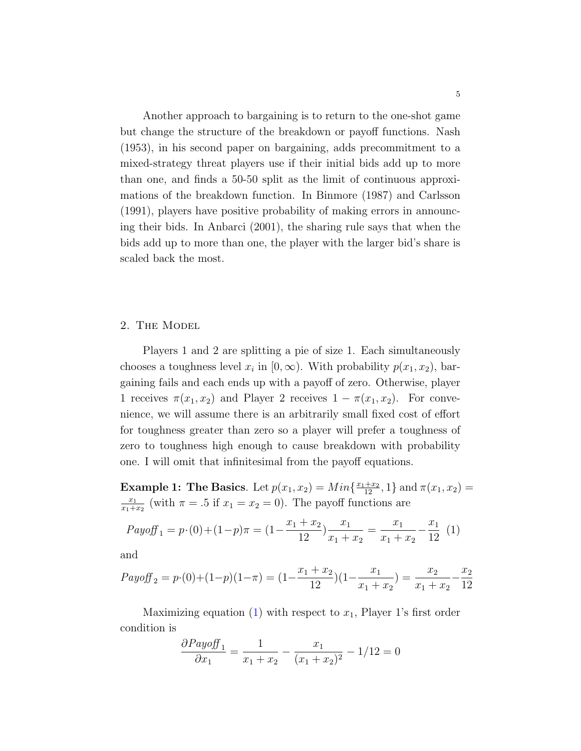Another approach to bargaining is to return to the one-shot game but change the structure of the breakdown or payoff functions. Nash (1953), in his second paper on bargaining, adds precommitment to a mixed-strategy threat players use if their initial bids add up to more than one, and finds a 50-50 split as the limit of continuous approximations of the breakdown function. In Binmore (1987) and Carlsson (1991), players have positive probability of making errors in announcing their bids. In Anbarci (2001), the sharing rule says that when the bids add up to more than one, the player with the larger bid's share is scaled back the most.

#### 2. The Model

Players 1 and 2 are splitting a pie of size 1. Each simultaneously chooses a toughness level  $x_i$  in  $[0, \infty)$ . With probability  $p(x_1, x_2)$ , bargaining fails and each ends up with a payoff of zero. Otherwise, player 1 receives  $\pi(x_1, x_2)$  and Player 2 receives  $1 - \pi(x_1, x_2)$ . For convenience, we will assume there is an arbitrarily small fixed cost of effort for toughness greater than zero so a player will prefer a toughness of zero to toughness high enough to cause breakdown with probability one. I will omit that infinitesimal from the payoff equations.

**Example 1: The Basics**. Let  $p(x_1, x_2) = Min\{\frac{x_1+x_2}{12}, 1\}$  and  $\pi(x_1, x_2) =$  $\overline{x_1}$  $\frac{x_1}{x_1+x_2}$  (with  $\pi = .5$  if  $x_1 = x_2 = 0$ ). The payoff functions are

<span id="page-5-0"></span>
$$
Payoff_1 = p \cdot (0) + (1-p)\pi = (1 - \frac{x_1 + x_2}{12})\frac{x_1}{x_1 + x_2} = \frac{x_1}{x_1 + x_2} - \frac{x_1}{12}
$$
 (1)

and

$$
Payoff_2 = p \cdot (0) + (1-p)(1-\pi) = (1 - \frac{x_1 + x_2}{12})(1 - \frac{x_1}{x_1 + x_2}) = \frac{x_2}{x_1 + x_2} - \frac{x_2}{12}
$$

Maximizing equation [\(1\)](#page-5-0) with respect to  $x_1$ , Player 1's first order condition is

$$
\frac{\partial Payoff_1}{\partial x_1} = \frac{1}{x_1 + x_2} - \frac{x_1}{(x_1 + x_2)^2} - 1/12 = 0
$$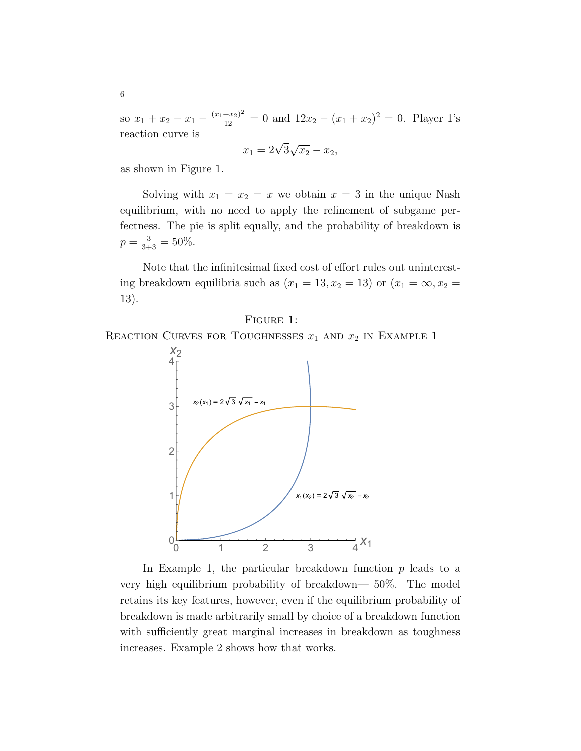so  $x_1 + x_2 - x_1 - \frac{(x_1 + x_2)^2}{12} = 0$  and  $12x_2 - (x_1 + x_2)^2 = 0$ . Player 1's reaction curve is

$$
x_1 = 2\sqrt{3}\sqrt{x_2} - x_2,
$$

as shown in Figure 1.

Solving with  $x_1 = x_2 = x$  we obtain  $x = 3$  in the unique Nash equilibrium, with no need to apply the refinement of subgame perfectness. The pie is split equally, and the probability of breakdown is  $p = \frac{3}{3+3} = 50\%.$ 

Note that the infinitesimal fixed cost of effort rules out uninteresting breakdown equilibria such as  $(x_1 = 13, x_2 = 13)$  or  $(x_1 = \infty, x_2 =$ 13).

Figure 1:

REACTION CURVES FOR TOUGHNESSES  $x_1$  and  $x_2$  in Example 1



In Example 1, the particular breakdown function  $p$  leads to a very high equilibrium probability of breakdown— 50%. The model retains its key features, however, even if the equilibrium probability of breakdown is made arbitrarily small by choice of a breakdown function with sufficiently great marginal increases in breakdown as toughness increases. Example 2 shows how that works.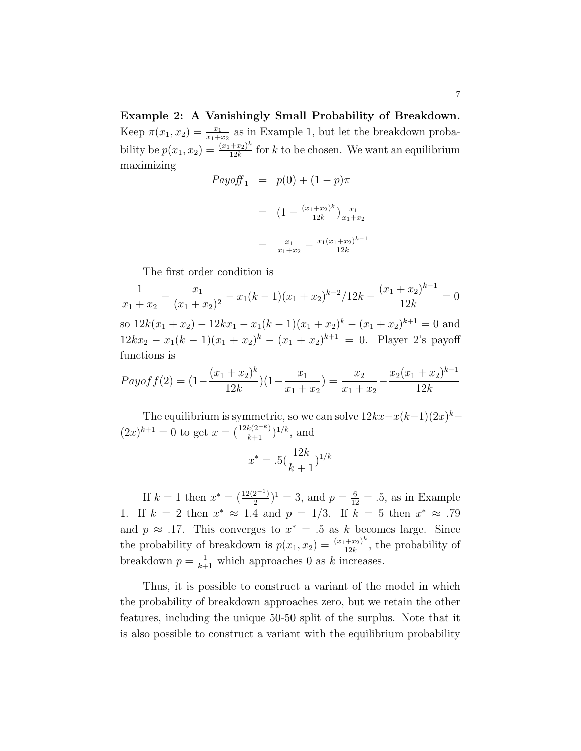Example 2: A Vanishingly Small Probability of Breakdown. Keep  $\pi(x_1, x_2) = \frac{x_1}{x_1 + x_2}$  as in Example 1, but let the breakdown probability be  $p(x_1, x_2) = \frac{(x_1 + x_2)^k}{12k}$  $\frac{+x_2}{12k}$  for k to be chosen. We want an equilibrium maximizing

$$
Payoff_1 = p(0) + (1 - p)\pi
$$

$$
= \left(1 - \frac{(x_1 + x_2)^k}{12k}\right) \frac{x_1}{x_1 + x_2}
$$

$$
= \frac{x_1}{x_1 + x_2} - \frac{x_1(x_1 + x_2)^{k-1}}{12k}
$$

The first order condition is

1  $x_1 + x_2$  $-\frac{x_1}{(x_1+x_2)^2}$  $\frac{x_1}{(x_1+x_2)^2} - x_1(k-1)(x_1+x_2)^{k-2}/12k - \frac{(x_1+x_2)^{k-1}}{12k}$ 12k  $= 0$ so  $12k(x_1+x_2) - 12kx_1 - x_1(k-1)(x_1+x_2)^k - (x_1+x_2)^{k+1} = 0$  and  $12kx_2 - x_1(k-1)(x_1+x_2)^k - (x_1+x_2)^{k+1} = 0$ . Player 2's payoff functions is

$$
Payoff(2) = (1 - \frac{(x_1 + x_2)^k}{12k})(1 - \frac{x_1}{x_1 + x_2}) = \frac{x_2}{x_1 + x_2} - \frac{x_2(x_1 + x_2)^{k-1}}{12k}
$$

The equilibrium is symmetric, so we can solve  $12kx - x(k-1)(2x)^{k-1}$  $(2x)^{k+1} = 0$  to get  $x = (\frac{12k(2^{-k})}{k+1})^{1/k}$ , and

$$
x^* = .5(\frac{12k}{k+1})^{1/k}
$$

If  $k = 1$  then  $x^* = \left(\frac{12(2^{-1})}{2}\right)$  $\left(\frac{2^{-1}}{2}\right)^1 = 3$ , and  $p = \frac{6}{12} = .5$ , as in Example 1. If  $k = 2$  then  $x^* \approx 1.4$  and  $p = 1/3$ . If  $k = 5$  then  $x^* \approx .79$ and  $p \approx .17$ . This converges to  $x^* = .5$  as k becomes large. Since the probability of breakdown is  $p(x_1, x_2) = \frac{(x_1 + x_2)^k}{12k}$  $\frac{+x_2}{12k}$ , the probability of breakdown  $p = \frac{1}{k+1}$  which approaches 0 as k increases.

Thus, it is possible to construct a variant of the model in which the probability of breakdown approaches zero, but we retain the other features, including the unique 50-50 split of the surplus. Note that it is also possible to construct a variant with the equilibrium probability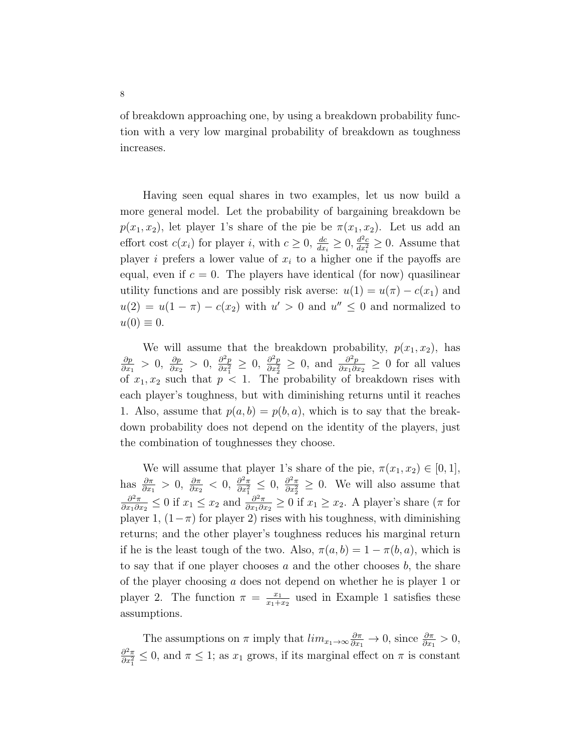of breakdown approaching one, by using a breakdown probability function with a very low marginal probability of breakdown as toughness increases.

Having seen equal shares in two examples, let us now build a more general model. Let the probability of bargaining breakdown be  $p(x_1, x_2)$ , let player 1's share of the pie be  $\pi(x_1, x_2)$ . Let us add an effort cost  $c(x_i)$  for player i, with  $c \ge 0$ ,  $\frac{dc}{dx_i} \ge 0$ ,  $\frac{d^2c}{dx_i^2} \ge 0$ . Assume that player i prefers a lower value of  $x_i$  to a higher one if the payoffs are equal, even if  $c = 0$ . The players have identical (for now) quasilinear utility functions and are possibly risk averse:  $u(1) = u(\pi) - c(x_1)$  and  $u(2) = u(1 - \pi) - c(x_2)$  with  $u' > 0$  and  $u'' \leq 0$  and normalized to  $u(0) \equiv 0.$ 

We will assume that the breakdown probability,  $p(x_1, x_2)$ , has ∂p  $\frac{\partial p}{\partial x_1} > 0, \frac{\partial p}{\partial x_2} > 0, \frac{\partial^2 p}{\partial x_1^2}$  $\frac{\partial^2 p}{\partial x_1^2} \geq 0$ ,  $\frac{\partial^2 p}{\partial x_2^2}$  $\frac{\partial^2 p}{\partial x_2^2} \geq 0$ , and  $\frac{\partial^2 p}{\partial x_1 \partial x_2^2}$  $\frac{\partial^2 p}{\partial x_1 \partial x_2} \geq 0$  for all values of  $x_1, x_2$  such that  $p < 1$ . The probability of breakdown rises with each player's toughness, but with diminishing returns until it reaches 1. Also, assume that  $p(a, b) = p(b, a)$ , which is to say that the breakdown probability does not depend on the identity of the players, just the combination of toughnesses they choose.

We will assume that player 1's share of the pie,  $\pi(x_1, x_2) \in [0, 1]$ , has  $\frac{\partial \pi}{\partial x_1} > 0$ ,  $\frac{\partial \pi}{\partial x_2} < 0$ ,  $\frac{\partial^2 \pi}{\partial x_1^2}$  $\frac{\partial^2 \pi}{\partial x_1^2} \leq 0$ ,  $\frac{\partial^2 \pi}{\partial x_2^2}$  $\frac{\partial^2 \pi}{\partial x_2^2} \geq 0$ . We will also assume that  $\partial^2 \pi$  $\frac{\partial^2 \pi}{\partial x_1 \partial x_2} \leq 0$  if  $x_1 \leq x_2$  and  $\frac{\partial^2 \pi}{\partial x_1 \partial x_2}$  $\frac{\partial^2 \pi}{\partial x_1 \partial x_2} \geq 0$  if  $x_1 \geq x_2$ . A player's share ( $\pi$  for player 1,  $(1-\pi)$  for player 2) rises with his toughness, with diminishing returns; and the other player's toughness reduces his marginal return if he is the least tough of the two. Also,  $\pi(a, b) = 1 - \pi(b, a)$ , which is to say that if one player chooses  $a$  and the other chooses  $b$ , the share of the player choosing a does not depend on whether he is player 1 or player 2. The function  $\pi = \frac{x_1}{x_1 + x_2}$  $\frac{x_1}{x_1+x_2}$  used in Example 1 satisfies these assumptions.

The assumptions on  $\pi$  imply that  $\lim_{x_1 \to \infty} \frac{\partial \pi}{\partial x_1} \to 0$ , since  $\frac{\partial \pi}{\partial x_1} > 0$ ,  $\partial^2 \pi$  $\frac{\partial^2 \pi}{\partial x_1^2} \leq 0$ , and  $\pi \leq 1$ ; as  $x_1$  grows, if its marginal effect on  $\pi$  is constant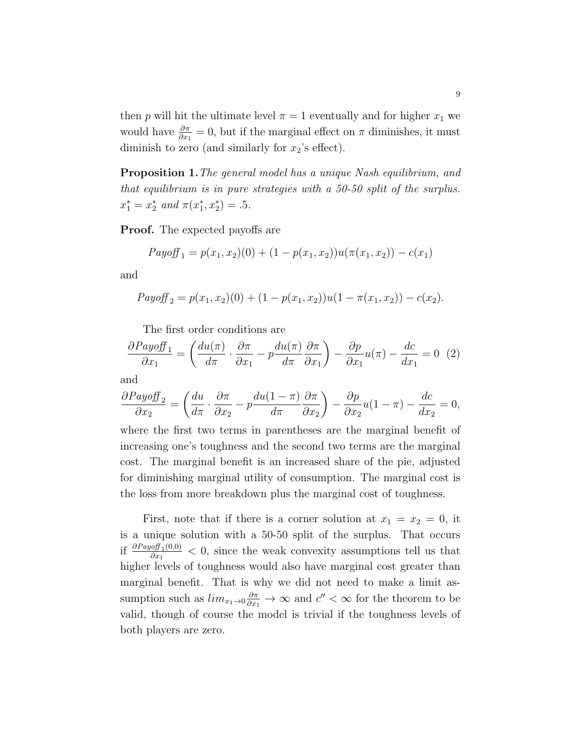then p will hit the ultimate level  $\pi = 1$  eventually and for higher  $x_1$  we would have  $\frac{\partial \pi}{\partial x_1} = 0$ , but if the marginal effect on  $\pi$  diminishes, it must diminish to zero (and similarly for  $x_2$ 's effect).

**Proposition 1.** The general model has a unique Nash equilibrium, and that equilibrium is in pure strategies with a 50-50 split of the surplus.  $x_1^* = x_2^*$  and  $\pi(x_1^*, x_2^*) = .5$ .

Proof. The expected payoffs are

$$
Payoff_1 = p(x_1, x_2)(0) + (1 - p(x_1, x_2))u(\pi(x_1, x_2)) - c(x_1)
$$

and

$$
Payoff_2 = p(x_1, x_2)(0) + (1 - p(x_1, x_2))u(1 - \pi(x_1, x_2)) - c(x_2).
$$

The first order conditions are

<span id="page-9-0"></span>
$$
\frac{\partial Payoff_1}{\partial x_1} = \left(\frac{du(\pi)}{d\pi} \cdot \frac{\partial \pi}{\partial x_1} - p\frac{du(\pi)}{d\pi} \frac{\partial \pi}{\partial x_1}\right) - \frac{\partial p}{\partial x_1}u(\pi) - \frac{dc}{dx_1} = 0 \tag{2}
$$

and

$$
\frac{\partial Payoff_2}{\partial x_2} = \left(\frac{du}{d\pi} \cdot \frac{\partial \pi}{\partial x_2} - p\frac{du(1-\pi)}{d\pi} \frac{\partial \pi}{\partial x_2}\right) - \frac{\partial p}{\partial x_2}u(1-\pi) - \frac{dc}{dx_2} = 0,
$$

where the first two terms in parentheses are the marginal benefit of increasing one's toughness and the second two terms are the marginal cost. The marginal benefit is an increased share of the pie, adjusted for diminishing marginal utility of consumption. The marginal cost is the loss from more breakdown plus the marginal cost of toughness.

First, note that if there is a corner solution at  $x_1 = x_2 = 0$ , it is a unique solution with a 50-50 split of the surplus. That occurs if  $\frac{\partial Payoff_1(0,0)}{\partial x_1}$  $\frac{\partial u_{1}(0,0)}{\partial x_{1}}$  < 0, since the weak convexity assumptions tell us that higher levels of toughness would also have marginal cost greater than marginal benefit. That is why we did not need to make a limit assumption such as  $\lim_{x_1 \to 0} \frac{\partial \pi}{\partial x_1} \to \infty$  and  $c'' < \infty$  for the theorem to be valid, though of course the model is trivial if the toughness levels of both players are zero.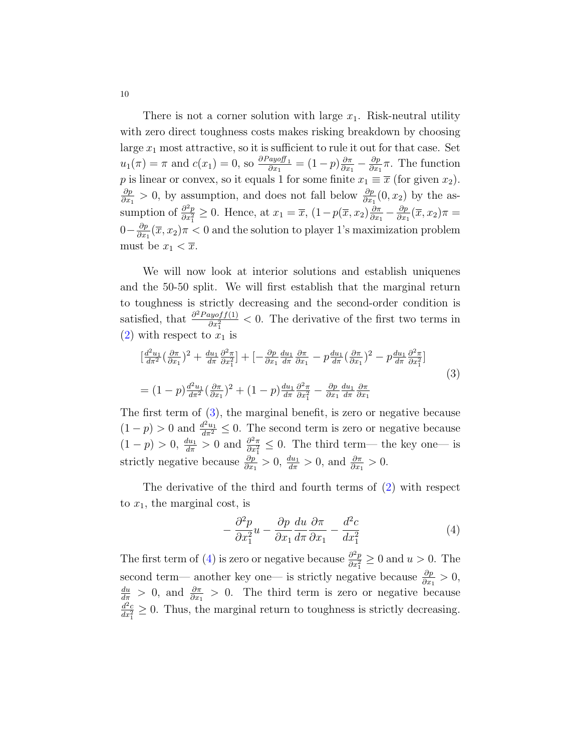There is not a corner solution with large  $x_1$ . Risk-neutral utility with zero direct toughness costs makes risking breakdown by choosing large  $x_1$  most attractive, so it is sufficient to rule it out for that case. Set  $u_1(\pi) = \pi$  and  $c(x_1) = 0$ , so  $\frac{\partial Pay\circ ff_1}{\partial x_1} = (1-p)\frac{\partial \pi}{\partial x_1}$  $\frac{\partial \pi}{\partial x_1}-\frac{\partial p}{\partial x_1}$  $\frac{\partial p}{\partial x_1}\pi$ . The function p is linear or convex, so it equals 1 for some finite  $x_1 \equiv \overline{x}$  (for given  $x_2$ ). ∂p  $\frac{\partial p}{\partial x_1} > 0$ , by assumption, and does not fall below  $\frac{\partial p}{\partial x_1}(0, x_2)$  by the assumption of  $\frac{\partial^2 p}{\partial x^2}$  $\frac{\partial^2 p}{\partial x_1^2} \geq 0$ . Hence, at  $x_1 = \overline{x}$ ,  $(1 - p(\overline{x}, x_2) \frac{\partial \pi}{\partial x_1})$  $\frac{\partial \pi}{\partial x_1} - \frac{\partial p}{\partial x_1}$  $\frac{\partial p}{\partial x_1}(\overline{x},x_2)\pi =$  $0-\frac{\partial p}{\partial x}$  $\frac{\partial p}{\partial x_1}(\overline{x}, x_2)\pi < 0$  and the solution to player 1's maximization problem must be  $x_1 < \overline{x}$ .

We will now look at interior solutions and establish uniquenes and the 50-50 split. We will first establish that the marginal return to toughness is strictly decreasing and the second-order condition is satisfied, that  $\frac{\partial^2 Payoff(1)}{\partial x^2}$  $\frac{logoff(1)}{dx_1^2}$  < 0. The derivative of the first two terms in  $(2)$  with respect to  $x_1$  is

<span id="page-10-0"></span>
$$
\begin{split} \left[\frac{d^{2}u_{1}}{d\pi^{2}}\left(\frac{\partial\pi}{\partial x_{1}}\right)^{2} + \frac{du_{1}}{d\pi}\frac{\partial^{2}\pi}{\partial x_{1}^{2}}\right] + \left[-\frac{\partial p}{\partial x_{1}}\frac{du_{1}}{d\pi}\frac{\partial\pi}{\partial x_{1}} - p\frac{du_{1}}{d\pi}\left(\frac{\partial\pi}{\partial x_{1}}\right)^{2} - p\frac{du_{1}}{d\pi}\frac{\partial^{2}\pi}{\partial x_{1}^{2}}\right] \\ = (1-p)\frac{d^{2}u_{1}}{d\pi^{2}}\left(\frac{\partial\pi}{\partial x_{1}}\right)^{2} + (1-p)\frac{du_{1}}{d\pi}\frac{\partial^{2}\pi}{\partial x_{1}^{2}} - \frac{\partial p}{\partial x_{1}}\frac{du_{1}}{d\pi}\frac{\partial\pi}{\partial x_{1}} \end{split} \tag{3}
$$

The first term of [\(3\)](#page-10-0), the marginal benefit, is zero or negative because  $(1-p) > 0$  and  $\frac{d^2u_1}{dx^2} \leq 0$ . The second term is zero or negative because  $(1-p) > 0, \frac{du_1}{d\pi} > 0$  and  $\frac{\partial^2 \pi}{\partial x_1^2}$  $\frac{\partial^2 \pi}{\partial x_1^2} \leq 0$ . The third term— the key one— is strictly negative because  $\frac{\partial p}{\partial x_1} > 0$ ,  $\frac{du_1}{d\pi} > 0$ , and  $\frac{\partial \pi}{\partial x_1} > 0$ .

The derivative of the third and fourth terms of [\(2\)](#page-9-0) with respect to  $x_1$ , the marginal cost, is

<span id="page-10-1"></span>
$$
-\frac{\partial^2 p}{\partial x_1^2}u - \frac{\partial p}{\partial x_1}\frac{du}{d\pi}\frac{\partial \pi}{\partial x_1} - \frac{d^2c}{dx_1^2}
$$
(4)

The first term of [\(4\)](#page-10-1) is zero or negative because  $\frac{\partial^2 p}{\partial x^2}$  $\frac{\partial^2 p}{\partial x_1^2} \geq 0$  and  $u > 0$ . The second term— another key one— is strictly negative because  $\frac{\partial p}{\partial x_1} > 0$ ,  $\frac{du}{d\pi} > 0$ , and  $\frac{\partial \pi}{\partial x_1} > 0$ . The third term is zero or negative because  $\frac{d^2c}{dx_1^2} \geq 0$ . Thus, the marginal return to toughness is strictly decreasing.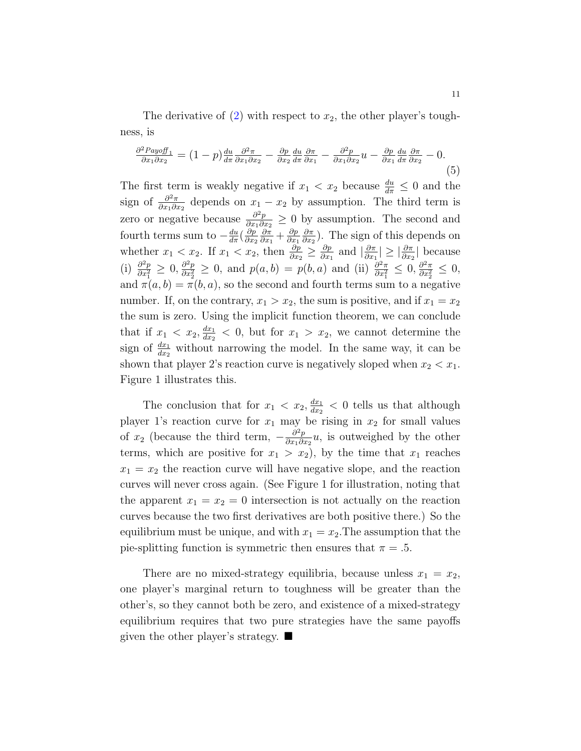The derivative of  $(2)$  with respect to  $x_2$ , the other player's toughness, is

$$
\frac{\partial^2 P_{ayoff_1}}{\partial x_1 \partial x_2} = (1-p) \frac{du}{d\pi} \frac{\partial^2 \pi}{\partial x_1 \partial x_2} - \frac{\partial p}{\partial x_2} \frac{du}{d\pi} \frac{\partial \pi}{\partial x_1} - \frac{\partial^2 p}{\partial x_1 \partial x_2} u - \frac{\partial p}{\partial x_1} \frac{du}{d\pi} \frac{\partial \pi}{\partial x_2} - 0.
$$
\n(5)

The first term is weakly negative if  $x_1 < x_2$  because  $\frac{du}{d\pi} \leq 0$  and the sign of  $\frac{\partial^2 \pi}{\partial x_i \partial y_j}$  $\frac{\partial^2 \pi}{\partial x_1 \partial x_2}$  depends on  $x_1 - x_2$  by assumption. The third term is zero or negative because  $\frac{\partial^2 p}{\partial x_i \partial y_j}$  $\frac{\partial^2 p}{\partial x_1 \partial x_2} \geq 0$  by assumption. The second and fourth terms sum to  $-\frac{du}{d\pi}(\frac{\partial p}{\partial x_2})$  $\partial x_2$ ∂π  $\frac{\partial \pi}{\partial x_1} + \frac{\partial p}{\partial x_1}$  $\partial x_1$ ∂π  $\frac{\partial \pi}{\partial x_2}$ ). The sign of this depends on whether  $x_1 < x_2$ . If  $x_1 < x_2$ , then  $\frac{\partial p}{\partial x_2} \geq \frac{\partial p}{\partial x_1}$  $\frac{\partial p}{\partial x_1}$  and  $\left| \frac{\partial \pi}{\partial x_1} \right|$  $\frac{\partial \pi}{\partial x_1} \geq \left| \frac{\partial \pi}{\partial x_2} \right|$  because  $(i) \frac{\partial^2 p}{\partial x^2}$  $\frac{\partial^2 p}{\partial x_1^2} \geq 0, \frac{\partial^2 p}{\partial x_2^2}$  $\frac{\partial^2 p}{\partial x_2^2} \geq 0$ , and  $p(a, b) = p(b, a)$  and (ii)  $\frac{\partial^2 \pi}{\partial x_1^2}$  $\frac{\partial^2 \pi}{\partial x_1^2} \leq 0, \frac{\partial^2 \pi}{\partial x_2^2}$  $\frac{\partial^2 \pi}{\partial x_2^2} \leq 0,$ and  $\pi(a, b) = \pi(b, a)$ , so the second and fourth terms sum to a negative number. If, on the contrary,  $x_1 > x_2$ , the sum is positive, and if  $x_1 = x_2$ the sum is zero. Using the implicit function theorem, we can conclude that if  $x_1 < x_2, \frac{dx_1}{dx_2}$  $\frac{dx_1}{dx_2}$  < 0, but for  $x_1 > x_2$ , we cannot determine the sign of  $\frac{dx_1}{dx_2}$  without narrowing the model. In the same way, it can be shown that player 2's reaction curve is negatively sloped when  $x_2 < x_1$ . Figure 1 illustrates this.

The conclusion that for  $x_1 < x_2, \frac{dx_1}{dx_2}$  $\frac{dx_1}{dx_2}$  < 0 tells us that although player 1's reaction curve for  $x_1$  may be rising in  $x_2$  for small values of  $x_2$  (because the third term,  $-\frac{\partial^2 p}{\partial x_1 \partial x_2}$  $\frac{\partial^2 p}{\partial x_1 \partial x_2} u$ , is outweighed by the other terms, which are positive for  $x_1 > x_2$ , by the time that  $x_1$  reaches  $x_1 = x_2$  the reaction curve will have negative slope, and the reaction curves will never cross again. (See Figure 1 for illustration, noting that the apparent  $x_1 = x_2 = 0$  intersection is not actually on the reaction curves because the two first derivatives are both positive there.) So the equilibrium must be unique, and with  $x_1 = x_2$ . The assumption that the pie-splitting function is symmetric then ensures that  $\pi = .5$ .

There are no mixed-strategy equilibria, because unless  $x_1 = x_2$ , one player's marginal return to toughness will be greater than the other's, so they cannot both be zero, and existence of a mixed-strategy equilibrium requires that two pure strategies have the same payoffs given the other player's strategy.  $\blacksquare$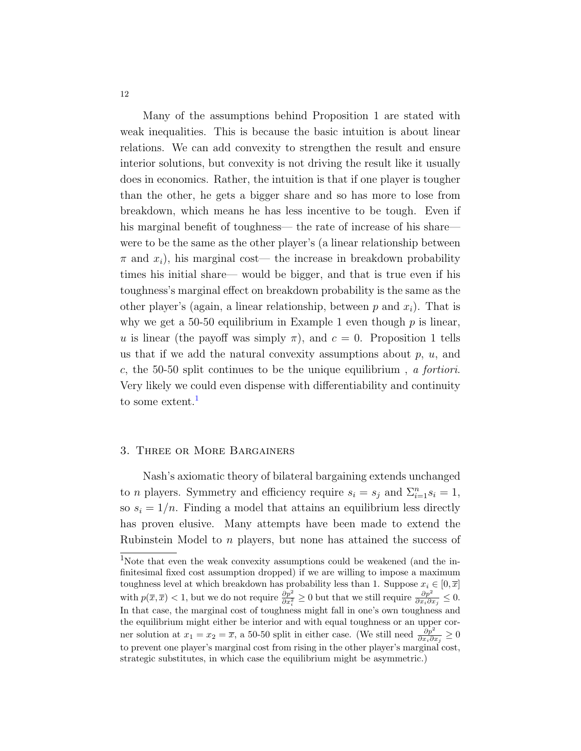Many of the assumptions behind Proposition 1 are stated with weak inequalities. This is because the basic intuition is about linear relations. We can add convexity to strengthen the result and ensure interior solutions, but convexity is not driving the result like it usually does in economics. Rather, the intuition is that if one player is tougher than the other, he gets a bigger share and so has more to lose from breakdown, which means he has less incentive to be tough. Even if his marginal benefit of toughness— the rate of increase of his share were to be the same as the other player's (a linear relationship between  $\pi$  and  $x_i$ ), his marginal cost— the increase in breakdown probability times his initial share— would be bigger, and that is true even if his toughness's marginal effect on breakdown probability is the same as the other player's (again, a linear relationship, between  $p$  and  $x_i$ ). That is why we get a 50-50 equilibrium in Example 1 even though  $p$  is linear, u is linear (the payoff was simply  $\pi$ ), and  $c = 0$ . Proposition 1 tells us that if we add the natural convexity assumptions about  $p, u$ , and c, the 50-50 split continues to be the unique equilibrium , a fortiori. Very likely we could even dispense with differentiability and continuity to some extent.<sup>[1](#page-12-0)</sup>

#### 3. Three or More Bargainers

Nash's axiomatic theory of bilateral bargaining extends unchanged to *n* players. Symmetry and efficiency require  $s_i = s_j$  and  $\sum_{i=1}^n s_i = 1$ , so  $s_i = 1/n$ . Finding a model that attains an equilibrium less directly has proven elusive. Many attempts have been made to extend the Rubinstein Model to n players, but none has attained the success of

<span id="page-12-0"></span><sup>&</sup>lt;sup>1</sup>Note that even the weak convexity assumptions could be weakened (and the infinitesimal fixed cost assumption dropped) if we are willing to impose a maximum toughness level at which breakdown has probability less than 1. Suppose  $x_i \in [0, \overline{x}]$ with  $p(\overline{x}, \overline{x}) < 1$ , but we do not require  $\frac{\partial p^2}{\partial x_i^2} \ge 0$  but that we still require  $\frac{\partial p^2}{\partial x_i \partial x_j} \le 0$ . In that case, the marginal cost of toughness might fall in one's own toughness and the equilibrium might either be interior and with equal toughness or an upper corner solution at  $x_1 = x_2 = \overline{x}$ , a 50-50 split in either case. (We still need  $\frac{\partial p^2}{\partial x_i \partial x_j} \ge 0$ to prevent one player's marginal cost from rising in the other player's marginal cost, strategic substitutes, in which case the equilibrium might be asymmetric.)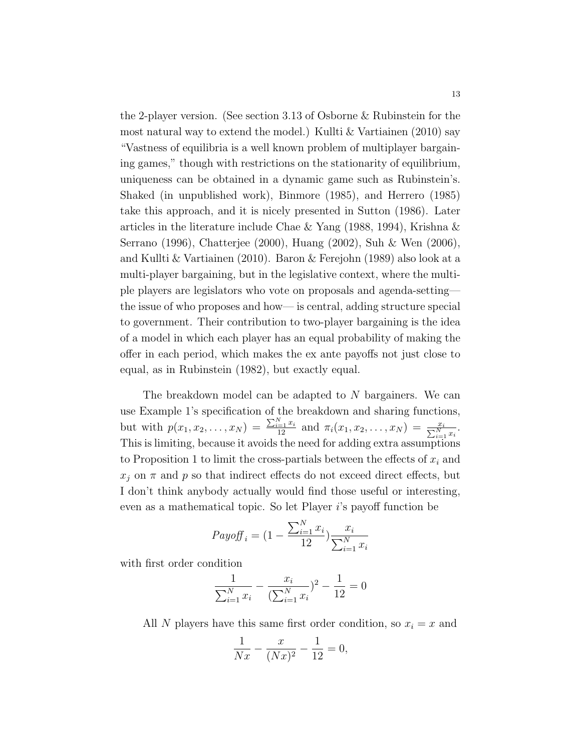the 2-player version. (See section 3.13 of Osborne & Rubinstein for the most natural way to extend the model.) Kullti  $&$  Vartiainen (2010) say "Vastness of equilibria is a well known problem of multiplayer bargaining games," though with restrictions on the stationarity of equilibrium, uniqueness can be obtained in a dynamic game such as Rubinstein's. Shaked (in unpublished work), Binmore (1985), and Herrero (1985) take this approach, and it is nicely presented in Sutton (1986). Later articles in the literature include Chae & Yang (1988, 1994), Krishna & Serrano (1996), Chatterjee (2000), Huang (2002), Suh & Wen (2006), and Kullti & Vartiainen (2010). Baron & Ferejohn (1989) also look at a multi-player bargaining, but in the legislative context, where the multiple players are legislators who vote on proposals and agenda-setting the issue of who proposes and how— is central, adding structure special to government. Their contribution to two-player bargaining is the idea of a model in which each player has an equal probability of making the offer in each period, which makes the ex ante payoffs not just close to equal, as in Rubinstein (1982), but exactly equal.

The breakdown model can be adapted to N bargainers. We can use Example 1's specification of the breakdown and sharing functions, but with  $p(x_1, x_2, \ldots, x_N) = \frac{\sum_{i=1}^N x_i}{12}$  and  $\pi_i(x_1, x_2, \ldots, x_N) = \frac{x_i}{\sum_{i=1}^N x_i}$ . This is limiting, because it avoids the need for adding extra assumptions to Proposition 1 to limit the cross-partials between the effects of  $x_i$  and  $x_j$  on  $\pi$  and  $p$  so that indirect effects do not exceed direct effects, but I don't think anybody actually would find those useful or interesting, even as a mathematical topic. So let Player i's payoff function be

$$
Payoff_{i} = (1 - \frac{\sum_{i=1}^{N} x_{i}}{12}) \frac{x_{i}}{\sum_{i=1}^{N} x_{i}}
$$

with first order condition

$$
\frac{1}{\sum_{i=1}^{N} x_i} - \frac{x_i}{(\sum_{i=1}^{N} x_i)^2} - \frac{1}{12} = 0
$$

All N players have this same first order condition, so  $x_i = x$  and

$$
\frac{1}{Nx} - \frac{x}{(Nx)^2} - \frac{1}{12} = 0,
$$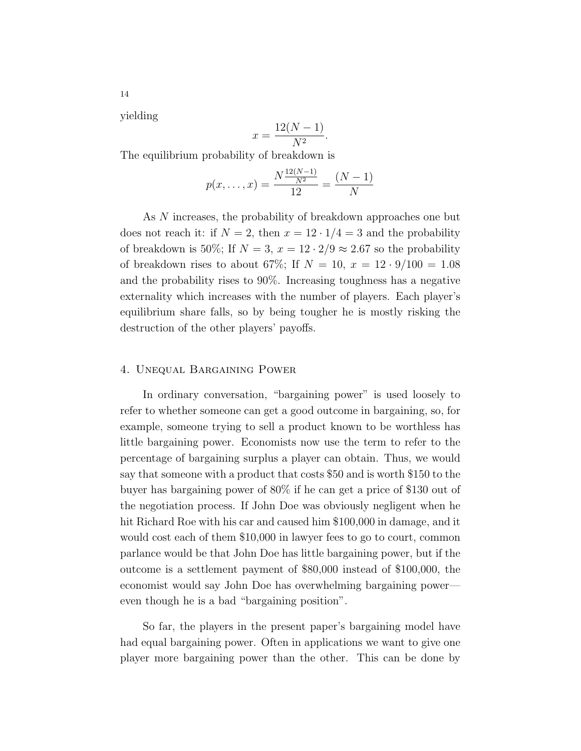yielding

$$
x = \frac{12(N-1)}{N^2}.
$$

The equilibrium probability of breakdown is

$$
p(x, \dots, x) = \frac{N \frac{12(N-1)}{N^2}}{12} = \frac{(N-1)}{N}
$$

As N increases, the probability of breakdown approaches one but does not reach it: if  $N = 2$ , then  $x = 12 \cdot 1/4 = 3$  and the probability of breakdown is 50%; If  $N = 3$ ,  $x = 12 \cdot 2/9 \approx 2.67$  so the probability of breakdown rises to about 67%; If  $N = 10, x = 12 \cdot 9/100 = 1.08$ and the probability rises to 90%. Increasing toughness has a negative externality which increases with the number of players. Each player's equilibrium share falls, so by being tougher he is mostly risking the destruction of the other players' payoffs.

#### 4. Unequal Bargaining Power

In ordinary conversation, "bargaining power" is used loosely to refer to whether someone can get a good outcome in bargaining, so, for example, someone trying to sell a product known to be worthless has little bargaining power. Economists now use the term to refer to the percentage of bargaining surplus a player can obtain. Thus, we would say that someone with a product that costs \$50 and is worth \$150 to the buyer has bargaining power of 80% if he can get a price of \$130 out of the negotiation process. If John Doe was obviously negligent when he hit Richard Roe with his car and caused him \$100,000 in damage, and it would cost each of them \$10,000 in lawyer fees to go to court, common parlance would be that John Doe has little bargaining power, but if the outcome is a settlement payment of \$80,000 instead of \$100,000, the economist would say John Doe has overwhelming bargaining power even though he is a bad "bargaining position".

So far, the players in the present paper's bargaining model have had equal bargaining power. Often in applications we want to give one player more bargaining power than the other. This can be done by

14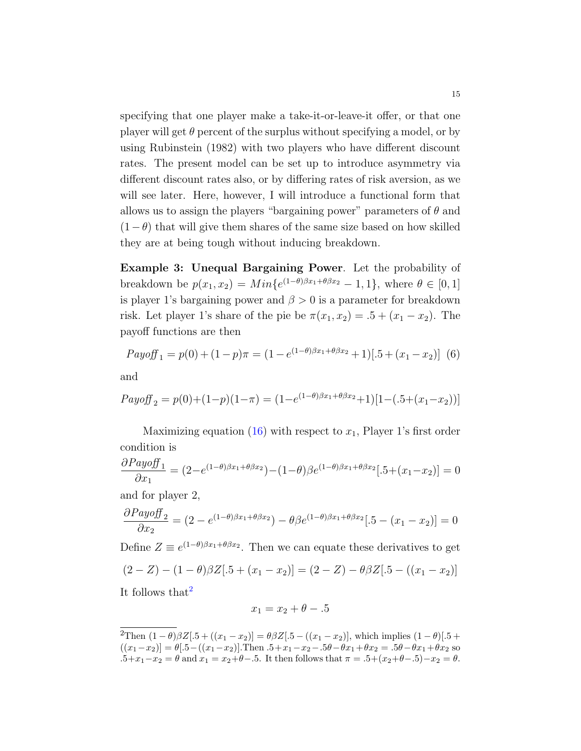specifying that one player make a take-it-or-leave-it offer, or that one player will get  $\theta$  percent of the surplus without specifying a model, or by using Rubinstein (1982) with two players who have different discount rates. The present model can be set up to introduce asymmetry via different discount rates also, or by differing rates of risk aversion, as we will see later. Here, however, I will introduce a functional form that allows us to assign the players "bargaining power" parameters of  $\theta$  and  $(1-\theta)$  that will give them shares of the same size based on how skilled they are at being tough without inducing breakdown.

Example 3: Unequal Bargaining Power. Let the probability of breakdown be  $p(x_1, x_2) = Min\{e^{(1-\theta)\beta x_1 + \theta \beta x_2} - 1, 1\}$ , where  $\theta \in [0, 1]$ is player 1's bargaining power and  $\beta > 0$  is a parameter for breakdown risk. Let player 1's share of the pie be  $\pi(x_1, x_2) = .5 + (x_1 - x_2)$ . The payoff functions are then

$$
Payoff_1 = p(0) + (1 - p)\pi = (1 - e^{(1 - \theta)\beta x_1 + \theta \beta x_2} + 1)[.5 + (x_1 - x_2)]
$$
 (6)

and

$$
Payoff_2 = p(0) + (1-p)(1-\pi) = (1 - e^{(1-\theta)\beta x_1 + \theta \beta x_2} + 1)[1 - (.5 + (x_1 - x_2))]
$$

Maximizing equation [\(16\)](#page-29-0) with respect to  $x_1$ , Player 1's first order condition is

$$
\frac{\partial Payoff_1}{\partial x_1} = (2 - e^{(1-\theta)\beta x_1 + \theta \beta x_2}) - (1-\theta)\beta e^{(1-\theta)\beta x_1 + \theta \beta x_2}[-5 + (x_1 - x_2)] = 0
$$

and for player 2,

$$
\frac{\partial Payoff_2}{\partial x_2} = (2 - e^{(1-\theta)\beta x_1 + \theta \beta x_2}) - \theta \beta e^{(1-\theta)\beta x_1 + \theta \beta x_2}[-5 - (x_1 - x_2)] = 0
$$

Define  $Z \equiv e^{(1-\theta)\beta x_1 + \theta \beta x_2}$ . Then we can equate these derivatives to get  $(2-Z) - (1-\theta)\beta Z[0.5 + (x_1 - x_2)] = (2-Z) - \theta\beta Z[0.5 - ((x_1 - x_2))]$ It follows that<sup>[2](#page-15-0)</sup>

$$
x_1 = x_2 + \theta - 0.5
$$

<span id="page-15-0"></span><sup>&</sup>lt;sup>2</sup>Then  $(1 - \theta)\beta Z[0.5 + ((x_1 - x_2))] = \theta\beta Z[0.5 - ((x_1 - x_2)]$ , which implies  $(1 - \theta)[0.5 + (x_1 - x_2)]$  $((x_1-x_2)] = \theta[.5-((x_1-x_2)].$ Then  $.5+x_1-x_2-.5\theta-\theta x_1+\theta x_2=.5\theta-\theta x_1+\theta x_2$  so .5+x<sub>1</sub>−x<sub>2</sub> = θ and x<sub>1</sub> = x<sub>2</sub>+θ−.5. It then follows that  $\pi = .5 + (x_2 + \theta - .5) - x_2 = \theta$ .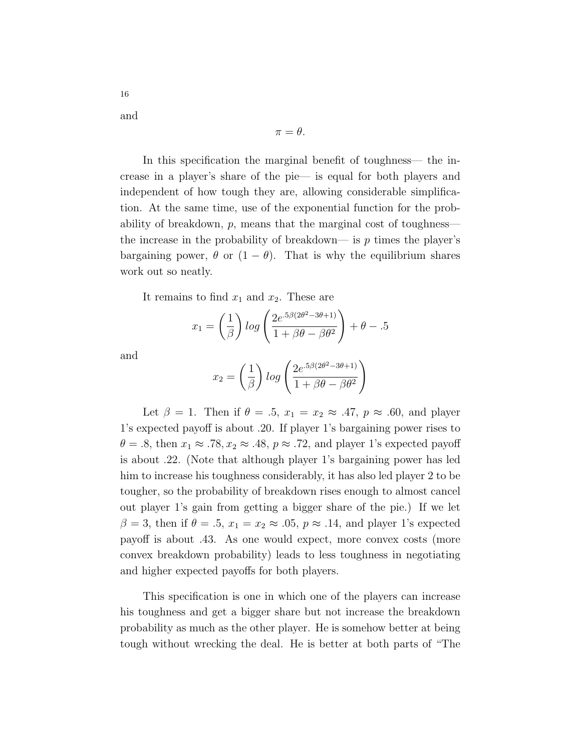and

16

$$
\pi=\theta.
$$

In this specification the marginal benefit of toughness— the increase in a player's share of the pie— is equal for both players and independent of how tough they are, allowing considerable simplification. At the same time, use of the exponential function for the probability of breakdown, p, means that the marginal cost of toughness the increase in the probability of breakdown— is  $p$  times the player's bargaining power,  $\theta$  or  $(1 - \theta)$ . That is why the equilibrium shares work out so neatly.

It remains to find  $x_1$  and  $x_2$ . These are

$$
x_1 = \left(\frac{1}{\beta}\right) \log \left(\frac{2e^{.5\beta(2\theta^2 - 3\theta + 1)}}{1 + \beta\theta - \beta\theta^2}\right) + \theta - .5
$$

and

$$
x_2 = \left(\frac{1}{\beta}\right) \log \left(\frac{2e^{.5\beta(2\theta^2 - 3\theta + 1)}}{1 + \beta\theta - \beta\theta^2}\right)
$$

Let  $\beta = 1$ . Then if  $\theta = .5$ ,  $x_1 = x_2 \approx .47$ ,  $p \approx .60$ , and player 1's expected payoff is about .20. If player 1's bargaining power rises to  $\theta = .8$ , then  $x_1 \approx .78, x_2 \approx .48, p \approx .72$ , and player 1's expected payoff is about .22. (Note that although player 1's bargaining power has led him to increase his toughness considerably, it has also led player 2 to be tougher, so the probability of breakdown rises enough to almost cancel out player 1's gain from getting a bigger share of the pie.) If we let  $\beta = 3$ , then if  $\theta = .5$ ,  $x_1 = x_2 \approx .05$ ,  $p \approx .14$ , and player 1's expected payoff is about .43. As one would expect, more convex costs (more convex breakdown probability) leads to less toughness in negotiating and higher expected payoffs for both players.

This specification is one in which one of the players can increase his toughness and get a bigger share but not increase the breakdown probability as much as the other player. He is somehow better at being tough without wrecking the deal. He is better at both parts of "The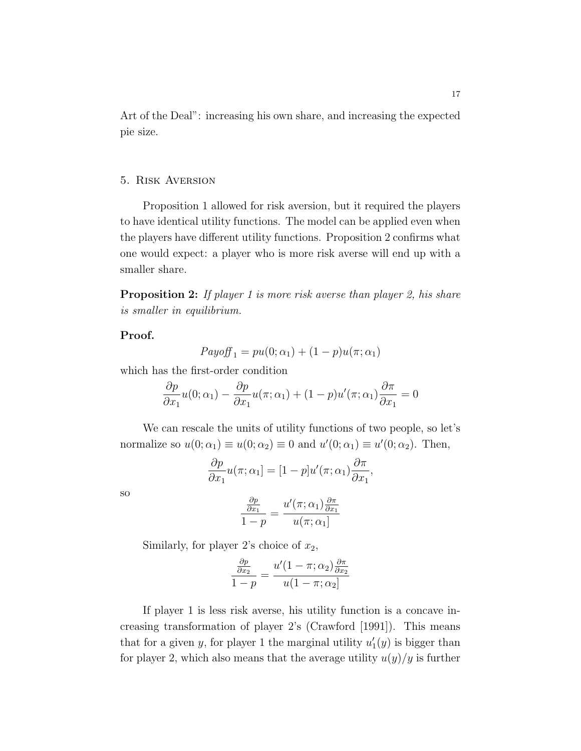Art of the Deal": increasing his own share, and increasing the expected pie size.

#### 5. Risk Aversion

Proposition 1 allowed for risk aversion, but it required the players to have identical utility functions. The model can be applied even when the players have different utility functions. Proposition 2 confirms what one would expect: a player who is more risk averse will end up with a smaller share.

**Proposition 2:** If player 1 is more risk averse than player 2, his share is smaller in equilibrium.

#### Proof.

$$
Payoff_1 = pu(0; \alpha_1) + (1 - p)u(\pi; \alpha_1)
$$

which has the first-order condition

$$
\frac{\partial p}{\partial x_1}u(0;\alpha_1) - \frac{\partial p}{\partial x_1}u(\pi;\alpha_1) + (1-p)u'(\pi;\alpha_1)\frac{\partial \pi}{\partial x_1} = 0
$$

We can rescale the units of utility functions of two people, so let's normalize so  $u(0; \alpha_1) \equiv u(0; \alpha_2) \equiv 0$  and  $u'(0; \alpha_1) \equiv u'(0; \alpha_2)$ . Then,

$$
\frac{\partial p}{\partial x_1}u(\pi;\alpha_1] = [1-p]u'(\pi;\alpha_1)\frac{\partial \pi}{\partial x_1},
$$

so

$$
\frac{\frac{\partial p}{\partial x_1}}{1-p} = \frac{u'(\pi; \alpha_1) \frac{\partial \pi}{\partial x_1}}{u(\pi; \alpha_1)}
$$

Similarly, for player 2's choice of  $x_2$ ,

$$
\frac{\frac{\partial p}{\partial x_2}}{1-p} = \frac{u'(1-\pi;\alpha_2)\frac{\partial \pi}{\partial x_2}}{u(1-\pi;\alpha_2)}
$$

If player 1 is less risk averse, his utility function is a concave increasing transformation of player 2's (Crawford [1991]). This means that for a given y, for player 1 the marginal utility  $u'_1(y)$  is bigger than for player 2, which also means that the average utility  $u(y)/y$  is further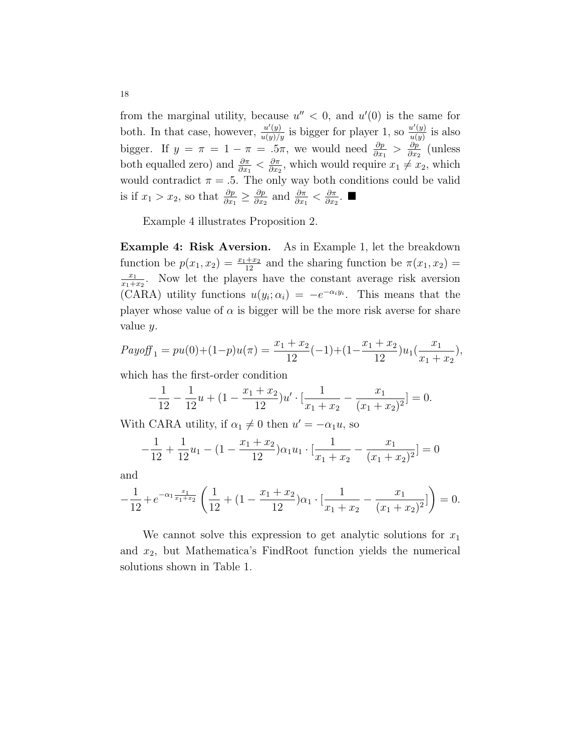from the marginal utility, because  $u'' < 0$ , and  $u'(0)$  is the same for both. In that case, however,  $\frac{u'(y)}{u(y)/y}$  is bigger for player 1, so  $\frac{u'(y)}{u(y)}$  $\frac{u'(y)}{u(y)}$  is also bigger. If  $y = \pi = 1 - \pi = .5\pi$ , we would need  $\frac{\partial p}{\partial x_1} > \frac{\partial p}{\partial x_2}$  $\frac{\partial p}{\partial x_2}$  (unless both equalled zero) and  $\frac{\partial \pi}{\partial x_1} < \frac{\partial \pi}{\partial x_2}$  $\frac{\partial \pi}{\partial x_2}$ , which would require  $x_1 \neq x_2$ , which would contradict  $\pi = .5$ . The only way both conditions could be valid is if  $x_1 > x_2$ , so that  $\frac{\partial p}{\partial x_1} \geq \frac{\partial p}{\partial x_2}$  $\frac{\partial p}{\partial x_2}$  and  $\frac{\partial \pi}{\partial x_1} < \frac{\partial \pi}{\partial x_2}$  $\frac{\partial \pi}{\partial x_2}$ . ■

Example 4 illustrates Proposition 2.

Example 4: Risk Aversion. As in Example 1, let the breakdown function be  $p(x_1, x_2) = \frac{x_1 + x_2}{12}$  and the sharing function be  $\pi(x_1, x_2) =$  $\overline{x_1}$  $\frac{x_1}{x_1+x_2}$ . Now let the players have the constant average risk aversion (CARA) utility functions  $u(y_i; \alpha_i) = -e^{-\alpha_i y_i}$ . This means that the player whose value of  $\alpha$  is bigger will be the more risk averse for share value y.

$$
Payoff_1 = pu(0) + (1-p)u(\pi) = \frac{x_1 + x_2}{12}(-1) + (1 - \frac{x_1 + x_2}{12})u_1(\frac{x_1}{x_1 + x_2}),
$$

which has the first-order condition

$$
-\frac{1}{12} - \frac{1}{12}u + (1 - \frac{x_1 + x_2}{12})u' \cdot \left[\frac{1}{x_1 + x_2} - \frac{x_1}{(x_1 + x_2)^2}\right] = 0.
$$

With CARA utility, if  $\alpha_1 \neq 0$  then  $u' = -\alpha_1 u$ , so

$$
-\frac{1}{12} + \frac{1}{12}u_1 - (1 - \frac{x_1 + x_2}{12})\alpha_1 u_1 \cdot \left[\frac{1}{x_1 + x_2} - \frac{x_1}{(x_1 + x_2)^2}\right] = 0
$$

and

$$
-\frac{1}{12} + e^{-\alpha_1 \frac{x_1}{x_1 + x_2}} \left( \frac{1}{12} + (1 - \frac{x_1 + x_2}{12})\alpha_1 \cdot \left[ \frac{1}{x_1 + x_2} - \frac{x_1}{(x_1 + x_2)^2} \right] \right) = 0.
$$

We cannot solve this expression to get analytic solutions for  $x_1$ and  $x_2$ , but Mathematica's FindRoot function yields the numerical solutions shown in Table 1.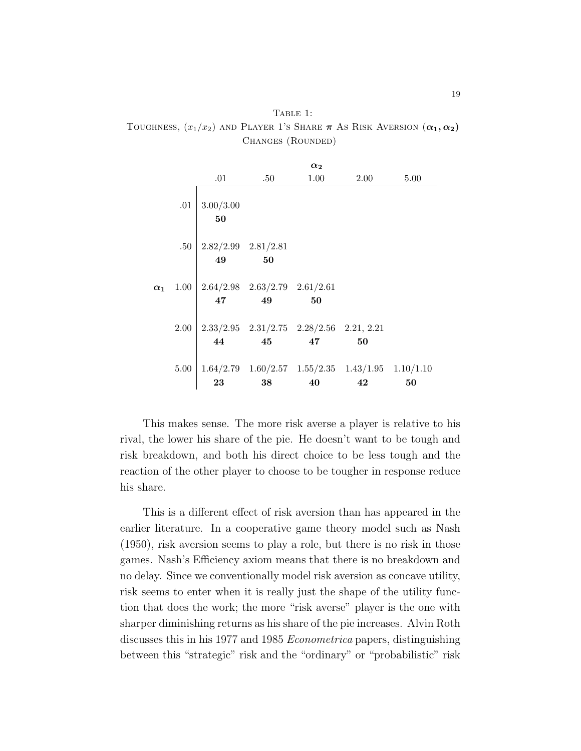Table 1: TOUGHNESS,  $(x_1/x_2)$  and Player 1's Share  $\pi$  As Risk Aversion  $(\alpha_1, \alpha_2)$ Changes (Rounded)

|            |      |                                                                              |                  | $\alpha_2$                                        |                                                                   |      |
|------------|------|------------------------------------------------------------------------------|------------------|---------------------------------------------------|-------------------------------------------------------------------|------|
|            |      | $.01\,$                                                                      | .50 <sub>1</sub> | 1.00                                              | $2.00\,$                                                          | 5.00 |
|            | .01  | 3.00/3.00<br>50                                                              |                  |                                                   |                                                                   |      |
| $\alpha_1$ |      | .50 $2.82/2.99$ $2.81/2.81$<br><b>49</b> 50                                  |                  |                                                   |                                                                   |      |
|            |      | $1.00 \begin{array}{ l} 2.64/2.98 & 2.63/2.79 & 2.61/2.61 \end{array}$<br>47 | 49               | 50                                                |                                                                   |      |
|            | 2.00 | 44                                                                           | 45 47            | $2.33/2.95$ $2.31/2.75$ $2.28/2.56$ $2.21$ , 2.21 | 50                                                                |      |
|            | 5.00 | 23                                                                           | 38               | 40                                                | $1.64/2.79$ $1.60/2.57$ $1.55/2.35$ $1.43/1.95$ $1.10/1.10$<br>42 | 50   |

This makes sense. The more risk averse a player is relative to his rival, the lower his share of the pie. He doesn't want to be tough and risk breakdown, and both his direct choice to be less tough and the reaction of the other player to choose to be tougher in response reduce his share.

This is a different effect of risk aversion than has appeared in the earlier literature. In a cooperative game theory model such as Nash (1950), risk aversion seems to play a role, but there is no risk in those games. Nash's Efficiency axiom means that there is no breakdown and no delay. Since we conventionally model risk aversion as concave utility, risk seems to enter when it is really just the shape of the utility function that does the work; the more "risk averse" player is the one with sharper diminishing returns as his share of the pie increases. Alvin Roth discusses this in his 1977 and 1985 Econometrica papers, distinguishing between this "strategic" risk and the "ordinary" or "probabilistic" risk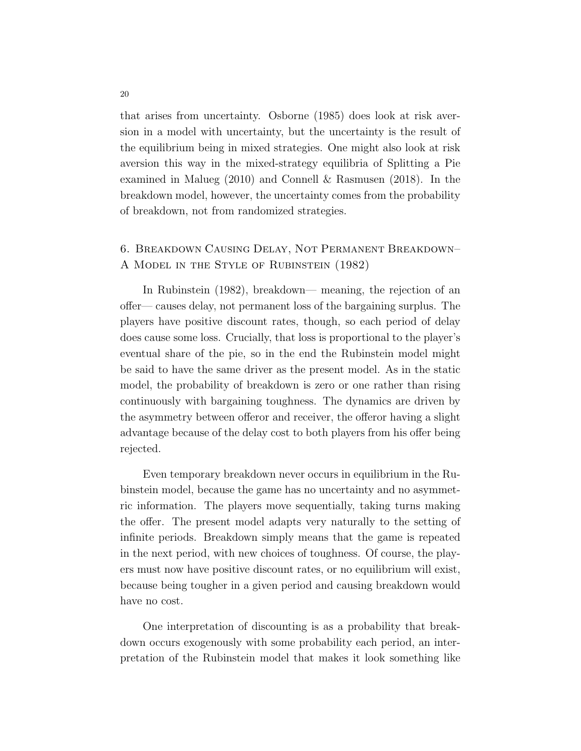that arises from uncertainty. Osborne (1985) does look at risk aversion in a model with uncertainty, but the uncertainty is the result of the equilibrium being in mixed strategies. One might also look at risk aversion this way in the mixed-strategy equilibria of Splitting a Pie examined in Malueg (2010) and Connell & Rasmusen (2018). In the breakdown model, however, the uncertainty comes from the probability of breakdown, not from randomized strategies.

# 6. Breakdown Causing Delay, Not Permanent Breakdown– A Model in the Style of Rubinstein (1982)

In Rubinstein (1982), breakdown— meaning, the rejection of an offer— causes delay, not permanent loss of the bargaining surplus. The players have positive discount rates, though, so each period of delay does cause some loss. Crucially, that loss is proportional to the player's eventual share of the pie, so in the end the Rubinstein model might be said to have the same driver as the present model. As in the static model, the probability of breakdown is zero or one rather than rising continuously with bargaining toughness. The dynamics are driven by the asymmetry between offeror and receiver, the offeror having a slight advantage because of the delay cost to both players from his offer being rejected.

Even temporary breakdown never occurs in equilibrium in the Rubinstein model, because the game has no uncertainty and no asymmetric information. The players move sequentially, taking turns making the offer. The present model adapts very naturally to the setting of infinite periods. Breakdown simply means that the game is repeated in the next period, with new choices of toughness. Of course, the players must now have positive discount rates, or no equilibrium will exist, because being tougher in a given period and causing breakdown would have no cost.

One interpretation of discounting is as a probability that breakdown occurs exogenously with some probability each period, an interpretation of the Rubinstein model that makes it look something like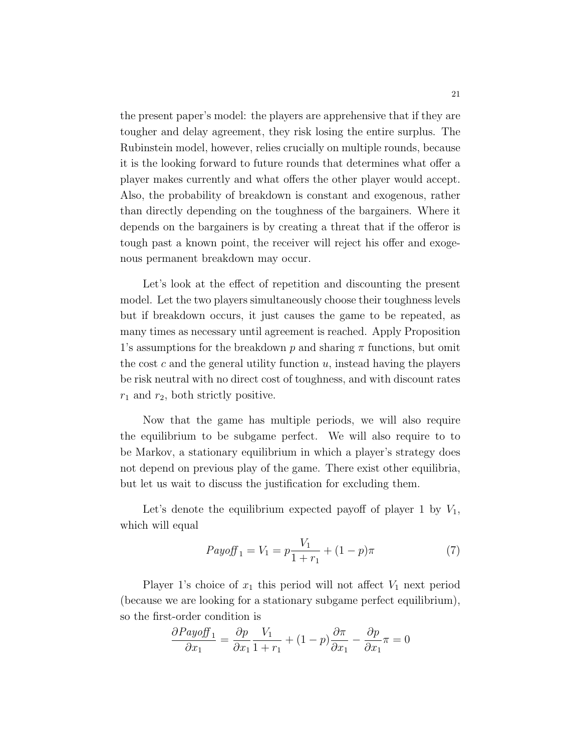the present paper's model: the players are apprehensive that if they are tougher and delay agreement, they risk losing the entire surplus. The Rubinstein model, however, relies crucially on multiple rounds, because it is the looking forward to future rounds that determines what offer a player makes currently and what offers the other player would accept. Also, the probability of breakdown is constant and exogenous, rather than directly depending on the toughness of the bargainers. Where it depends on the bargainers is by creating a threat that if the offeror is tough past a known point, the receiver will reject his offer and exogenous permanent breakdown may occur.

Let's look at the effect of repetition and discounting the present model. Let the two players simultaneously choose their toughness levels but if breakdown occurs, it just causes the game to be repeated, as many times as necessary until agreement is reached. Apply Proposition 1's assumptions for the breakdown  $p$  and sharing  $\pi$  functions, but omit the cost  $c$  and the general utility function  $u$ , instead having the players be risk neutral with no direct cost of toughness, and with discount rates  $r_1$  and  $r_2$ , both strictly positive.

Now that the game has multiple periods, we will also require the equilibrium to be subgame perfect. We will also require to to be Markov, a stationary equilibrium in which a player's strategy does not depend on previous play of the game. There exist other equilibria, but let us wait to discuss the justification for excluding them.

Let's denote the equilibrium expected payoff of player 1 by  $V_1$ , which will equal

<span id="page-21-0"></span>
$$
Payoff_1 = V_1 = p\frac{V_1}{1+r_1} + (1-p)\pi
$$
 (7)

Player 1's choice of  $x_1$  this period will not affect  $V_1$  next period (because we are looking for a stationary subgame perfect equilibrium), so the first-order condition is

$$
\frac{\partial Payoff_1}{\partial x_1} = \frac{\partial p}{\partial x_1} \frac{V_1}{1+r_1} + (1-p) \frac{\partial \pi}{\partial x_1} - \frac{\partial p}{\partial x_1} \pi = 0
$$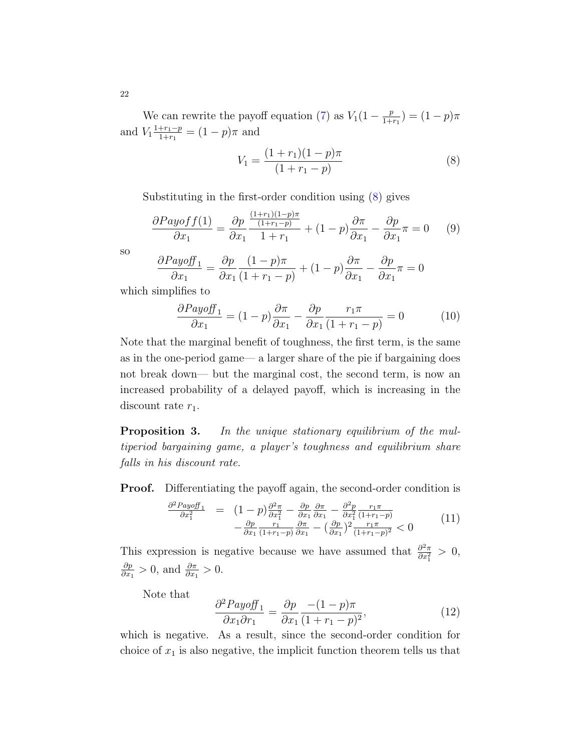We can rewrite the payoff equation [\(7\)](#page-21-0) as  $V_1(1-\frac{p}{1+\cdots})$  $\frac{p}{1+r_1}$ ) =  $(1-p)\pi$ and  $V_1 \frac{1+r_1-p}{1+r_1}$  $\frac{+r_1-p}{1+r_1} = (1-p)\pi$  and

<span id="page-22-0"></span>
$$
V_1 = \frac{(1+r_1)(1-p)\pi}{(1+r_1-p)}\tag{8}
$$

Substituting in the first-order condition using [\(8\)](#page-22-0) gives

$$
\frac{\partial Payoff(1)}{\partial x_1} = \frac{\partial p}{\partial x_1} \frac{\frac{(1+r_1)(1-p)\pi}{(1+r_1-p)}}{1+r_1} + (1-p)\frac{\partial \pi}{\partial x_1} - \frac{\partial p}{\partial x_1}\pi = 0 \tag{9}
$$

so

$$
\frac{\partial Payoff_1}{\partial x_1} = \frac{\partial p}{\partial x_1} \frac{(1-p)\pi}{(1+r_1-p)} + (1-p)\frac{\partial \pi}{\partial x_1} - \frac{\partial p}{\partial x_1}\pi = 0
$$

which simplifies to

<span id="page-22-1"></span>
$$
\frac{\partial Payoff_1}{\partial x_1} = (1-p)\frac{\partial \pi}{\partial x_1} - \frac{\partial p}{\partial x_1} \frac{r_1 \pi}{(1+r_1-p)} = 0 \tag{10}
$$

Note that the marginal benefit of toughness, the first term, is the same as in the one-period game— a larger share of the pie if bargaining does not break down— but the marginal cost, the second term, is now an increased probability of a delayed payoff, which is increasing in the discount rate  $r_1$ .

**Proposition 3.** In the unique stationary equilibrium of the multiperiod bargaining game, a player's toughness and equilibrium share falls in his discount rate.

**Proof.** Differentiating the payoff again, the second-order condition is

$$
\frac{\partial^2 Payoff_1}{\partial x_1^2} = (1-p)\frac{\partial^2 \pi}{\partial x_1^2} - \frac{\partial p}{\partial x_1}\frac{\partial \pi}{\partial x_1} - \frac{\partial^2 p}{\partial x_1^2}\frac{r_1 \pi}{(1+r_1-p)} -\frac{\partial p}{\partial x_1}\frac{r_1}{(1+r_1-p)}\frac{\partial \pi}{\partial x_1} - \left(\frac{\partial p}{\partial x_1}\right)^2 \frac{r_1 \pi}{(1+r_1-p)^2} < 0
$$
\n(11)

This expression is negative because we have assumed that  $\frac{\partial^2 \pi}{\partial x^2}$  $\frac{\partial^2 \pi}{\partial x_1^2} > 0,$ ∂p  $\frac{\partial p}{\partial x_1} > 0$ , and  $\frac{\partial \pi}{\partial x_1} > 0$ .

Note that

$$
\frac{\partial^2 Payoff_1}{\partial x_1 \partial r_1} = \frac{\partial p}{\partial x_1} \frac{-(1-p)\pi}{(1+r_1-p)^2},\tag{12}
$$

which is negative. As a result, since the second-order condition for choice of  $x_1$  is also negative, the implicit function theorem tells us that

22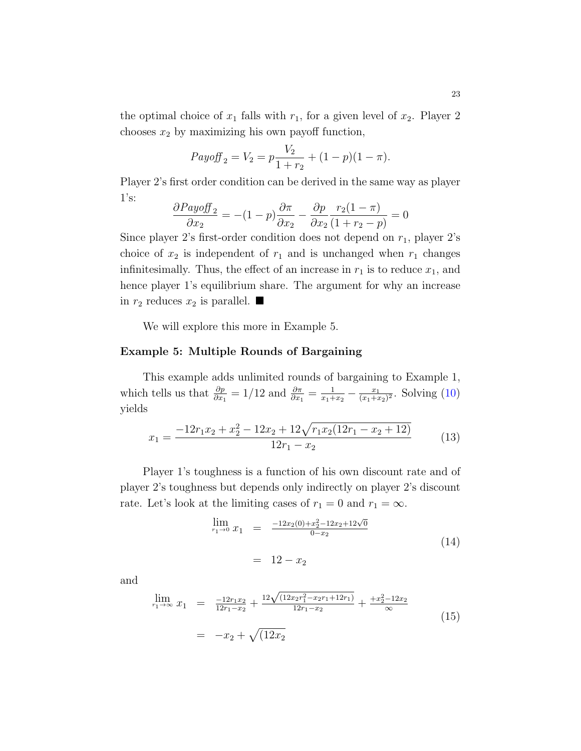the optimal choice of  $x_1$  falls with  $r_1$ , for a given level of  $x_2$ . Player 2 chooses  $x_2$  by maximizing his own payoff function,

$$
Payoff_2 = V_2 = p\frac{V_2}{1+r_2} + (1-p)(1-\pi).
$$

Player 2's first order condition can be derived in the same way as player  $1's:$ 

$$
\frac{\partial Payoff_2}{\partial x_2} = -(1-p)\frac{\partial \pi}{\partial x_2} - \frac{\partial p}{\partial x_2} \frac{r_2(1-\pi)}{(1+r_2-p)} = 0
$$

Since player 2's first-order condition does not depend on  $r_1$ , player 2's choice of  $x_2$  is independent of  $r_1$  and is unchanged when  $r_1$  changes infinitesimally. Thus, the effect of an increase in  $r_1$  is to reduce  $x_1$ , and hence player 1's equilibrium share. The argument for why an increase in  $r_2$  reduces  $x_2$  is parallel.

We will explore this more in Example 5.

### Example 5: Multiple Rounds of Bargaining

This example adds unlimited rounds of bargaining to Example 1, which tells us that  $\frac{\partial p}{\partial x_1} = 1/12$  and  $\frac{\partial \pi}{\partial x_1} = \frac{1}{x_1 + 1}$  $\frac{1}{x_1+x_2} - \frac{x_1}{(x_1+x_2)}$  $\frac{x_1}{(x_1+x_2)^2}$ . Solving  $(10)$ yields

$$
x_1 = \frac{-12r_1x_2 + x_2^2 - 12x_2 + 12\sqrt{r_1x_2(12r_1 - x_2 + 12)}}{12r_1 - x_2} \tag{13}
$$

Player 1's toughness is a function of his own discount rate and of player 2's toughness but depends only indirectly on player 2's discount rate. Let's look at the limiting cases of  $r_1 = 0$  and  $r_1 = \infty$ .

<span id="page-23-0"></span>
$$
\lim_{r_1 \to 0} x_1 = \frac{-12x_2(0) + x_2^2 - 12x_2 + 12\sqrt{0}}{0 - x_2}
$$
\n
$$
= 12 - x_2
$$
\n(14)

and

$$
\lim_{r_1 \to \infty} x_1 = \frac{-12r_1x_2}{12r_1 - x_2} + \frac{12\sqrt{(12x_2r_1^2 - x_2r_1 + 12r_1)}}{12r_1 - x_2} + \frac{+x_2^2 - 12x_2}{\infty}
$$
\n
$$
= -x_2 + \sqrt{(12x_2)}
$$
\n(15)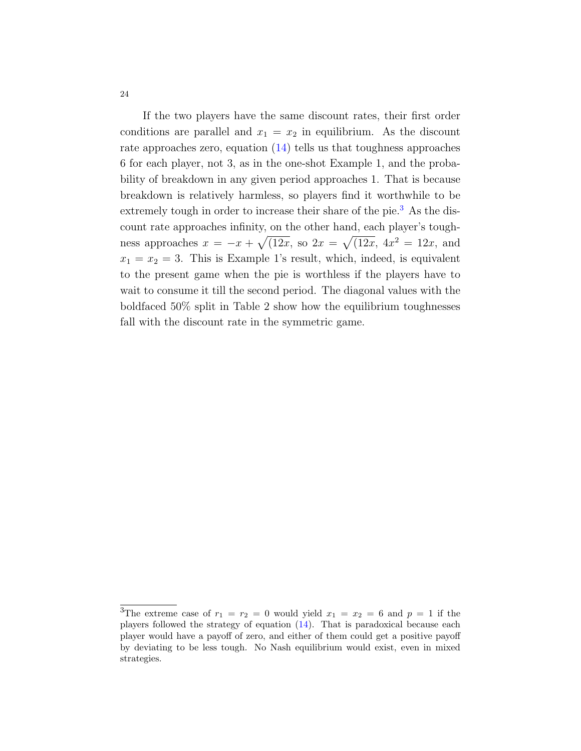If the two players have the same discount rates, their first order conditions are parallel and  $x_1 = x_2$  in equilibrium. As the discount rate approaches zero, equation [\(14\)](#page-23-0) tells us that toughness approaches 6 for each player, not 3, as in the one-shot Example 1, and the probability of breakdown in any given period approaches 1. That is because breakdown is relatively harmless, so players find it worthwhile to be extremely tough in order to increase their share of the pie.<sup>[3](#page-24-0)</sup> As the discount rate approaches infinity, on the other hand, each player's toughness approaches  $x = -x + \sqrt{12x}$ , so  $2x = \sqrt{12x}$ ,  $4x^2 = 12x$ , and  $x_1 = x_2 = 3$ . This is Example 1's result, which, indeed, is equivalent to the present game when the pie is worthless if the players have to wait to consume it till the second period. The diagonal values with the boldfaced 50% split in Table 2 show how the equilibrium toughnesses fall with the discount rate in the symmetric game.

<span id="page-24-0"></span><sup>&</sup>lt;sup>3</sup>The extreme case of  $r_1 = r_2 = 0$  would yield  $x_1 = x_2 = 6$  and  $p = 1$  if the players followed the strategy of equation [\(14\)](#page-23-0). That is paradoxical because each player would have a payoff of zero, and either of them could get a positive payoff by deviating to be less tough. No Nash equilibrium would exist, even in mixed strategies.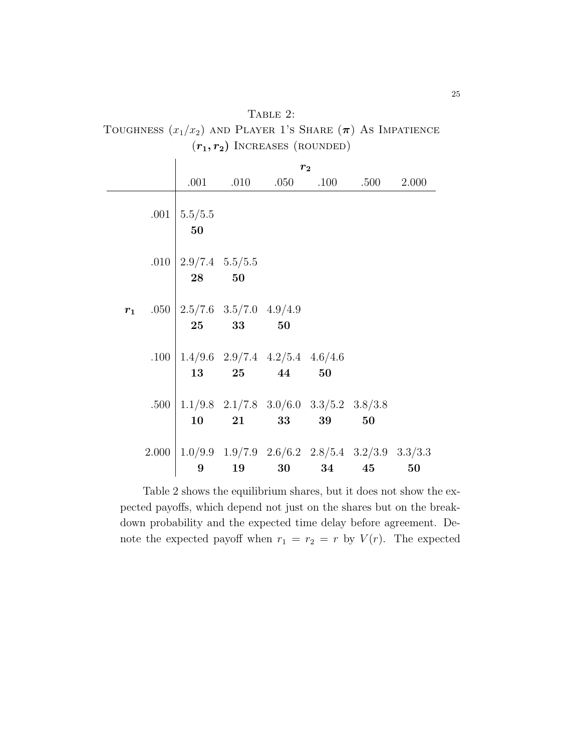| TABLE $2:$                                                       |
|------------------------------------------------------------------|
| TOUGHNESS $(x_1/x_2)$ and PLAYER 1's SHARE $(\pi)$ As IMPATIENCE |
| $(r_1, r_2)$ INCREASES (ROUNDED)                                 |

|  | r <sub>2</sub>                                                                                               |       |                                                                       |    |                                             |    |  |
|--|--------------------------------------------------------------------------------------------------------------|-------|-----------------------------------------------------------------------|----|---------------------------------------------|----|--|
|  |                                                                                                              |       |                                                                       |    | $.001$ $.010$ $.050$ $.100$ $.500$ $.2.000$ |    |  |
|  | .001   $5.5/5.5$<br>50                                                                                       |       |                                                                       |    |                                             |    |  |
|  | .010   $2.9/7.4$ 5.5/5.5<br>$28 \qquad 50$                                                                   |       |                                                                       |    |                                             |    |  |
|  | $r_1$ .050   2.5/7.6 3.5/7.0 4.9/4.9                                                                         | 25 33 | 50                                                                    |    |                                             |    |  |
|  | .100   $1.4/9.6$ 2.9/7.4 $4.2/5.4$ 4.6/4.6                                                                   |       | $\begin{array}{cccc} 13 & \quad 25 & \quad 44 & \quad 50 \end{array}$ |    |                                             |    |  |
|  | .500   $1.1/9.8$ 2.1/7.8 3.0/6.0 3.3/5.2 3.8/3.8                                                             |       | $10 \qquad 21 \qquad 33$                                              | 39 | 50                                          |    |  |
|  | $2.000 \mid 1.0/9.9 \quad 1.9/7.9 \quad 2.6/6.2 \quad 2.8/5.4 \quad 3.2/3.9 \quad 3.3/3.3$<br>$9\phantom{.}$ |       |                                                                       |    | 19 30 34 45                                 | 50 |  |

Table 2 shows the equilibrium shares, but it does not show the expected payoffs, which depend not just on the shares but on the breakdown probability and the expected time delay before agreement. Denote the expected payoff when  $r_1 = r_2 = r$  by  $V(r)$ . The expected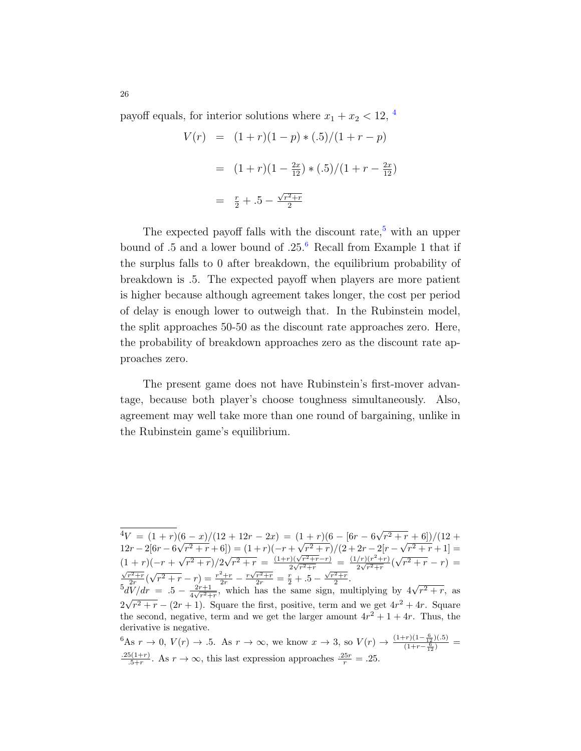payoff equals, for interior solutions where  $x_1 + x_2 < 12$ , <sup>[4](#page-26-0)</sup>

$$
V(r) = (1+r)(1-p) * (.5)/(1+r-p)
$$
  
=  $(1+r)(1-\frac{2x}{12}) * (.5)/(1+r-\frac{2x}{12})$   
=  $\frac{r}{2}+.5-\frac{\sqrt{r^2+r}}{2}$ 

The expected payoff falls with the discount rate, $5$  with an upper bound of .5 and a lower bound of .25. $6$  Recall from Example 1 that if the surplus falls to 0 after breakdown, the equilibrium probability of breakdown is .5. The expected payoff when players are more patient is higher because although agreement takes longer, the cost per period of delay is enough lower to outweigh that. In the Rubinstein model, the split approaches 50-50 as the discount rate approaches zero. Here, the probability of breakdown approaches zero as the discount rate approaches zero.

The present game does not have Rubinstein's first-mover advantage, because both player's choose toughness simultaneously. Also, agreement may well take more than one round of bargaining, unlike in the Rubinstein game's equilibrium.

<span id="page-26-0"></span> $\overline{A_V} = (1+r)(6-x)/(12+12r-2x) = (1+r)(6-6r-6\sqrt{2})$  $\sqrt{r^2+r}+6$ )/(12+  $12r - 2[6r - 6]$ √  $(r - x)/ (12 + 12r - 2x) = (1 + r)(-r + \sqrt{r^2 + r} + 6) = (1 + r)(-r + \sqrt{r^2 + r})$  $\frac{(r+1)(0-0)r-0}{r^2+r}$ / $\frac{(2+2r-2)r-0}{r}$  $(r^2 + r + 1) =$  $(1 + r)(-r +$  $^{\vee}$  '  $\frac{(r+1)(r+1)}{(r^2+r)}$ /2 $\sqrt{r^2+r}$  $\frac{(1+r)(\sqrt{r^2+r}-r)}{r^2+r} = \frac{(1+r)(\sqrt{r^2+r}-r)}{2\sqrt{r^2+r}}$  $rac{(1/r)^2(r^2+r)}{2\sqrt{r^2+r}} = \frac{(1/r)(r^2+r)}{2\sqrt{r^2+r}}$  $\frac{f(r)(r + r)}{2\sqrt{r^2+r}}$ √  $(1+r)(-r+\sqrt{r^2+r})/2\sqrt{r^2+r} = \frac{(1+r)(\sqrt{r^2+r}-r)}{2\sqrt{r^2+r}} = \frac{(1/r)(r^2+r)}{2\sqrt{r^2+r}}(\sqrt{r^2+r}-r) = \frac{\sqrt{r^2+r}}{2r}(\sqrt{r^2+r}-r) = \frac{r^2+r}{2r} - \frac{r\sqrt{r^2+r}}{2r} = \frac{r}{2} + \frac{5}{2} - \frac{\sqrt{r^2+r}}{2}.$ √  $\overline{r^2+r} - r$  =  $\frac{r^2+r}{2r} - \frac{r\sqrt{r^2+r}}{2r} = \frac{r}{2} + .5 - \frac{\sqrt{r^2+r}}{2}$ .  $\frac{5dV}{dr} = .5 - \frac{2r+1}{4\sqrt{r^2+1}}$  $\frac{2r}{dV/dr} \cdot (V^r + r - r) = \frac{2r}{2r} - \frac{2r}{2r} = \frac{1}{2} + .3 - \frac{1}{2}$ <br>  $\frac{dV}{dr} = .5 - \frac{2r+1}{4\sqrt{r^2+r}}$ , which has the same sign, multiplying by  $4\sqrt{r^2+r}$ , as  $2\sqrt{r^2+r}-(2r+1)$ . Square the first, positive, term and we get  $4r^2+4r$ . Square the second, negative, term and we get the larger amount  $4r^2 + 1 + 4r$ . Thus, the derivative is negative.

<span id="page-26-2"></span><span id="page-26-1"></span> ${}^6$ As  $r \to 0$ ,  $V(r) \to .5$ . As  $r \to \infty$ , we know  $x \to 3$ , so  $V(r) \to \frac{(1+r)(1-\frac{6}{12})(.5)}{(1+r-\frac{6}{12})}$  $.25(1+r)$  $\frac{5(1+r)}{5+r}$ . As  $r \to \infty$ , this last expression approaches  $\frac{.25r}{r} = .25$ .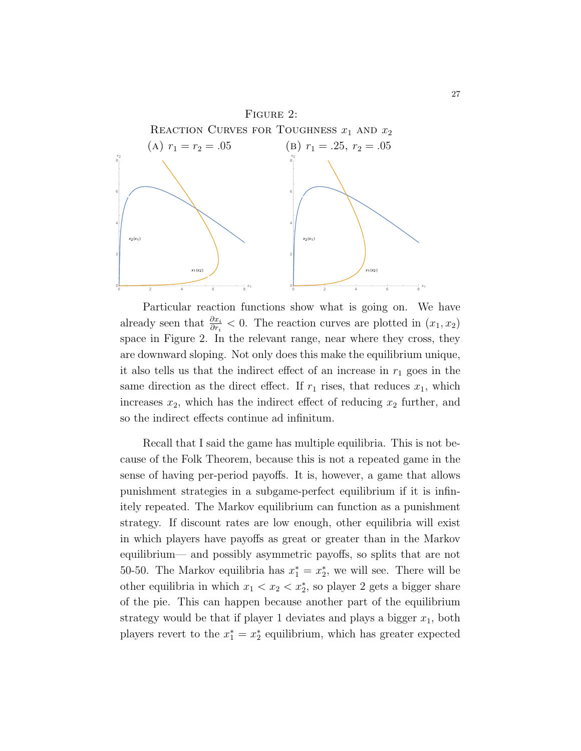

Particular reaction functions show what is going on. We have already seen that  $\frac{\partial x_i}{\partial r_i} < 0$ . The reaction curves are plotted in  $(x_1, x_2)$ space in Figure 2. In the relevant range, near where they cross, they are downward sloping. Not only does this make the equilibrium unique, it also tells us that the indirect effect of an increase in  $r_1$  goes in the same direction as the direct effect. If  $r_1$  rises, that reduces  $x_1$ , which increases  $x_2$ , which has the indirect effect of reducing  $x_2$  further, and so the indirect effects continue ad infinitum.

Recall that I said the game has multiple equilibria. This is not because of the Folk Theorem, because this is not a repeated game in the sense of having per-period payoffs. It is, however, a game that allows punishment strategies in a subgame-perfect equilibrium if it is infinitely repeated. The Markov equilibrium can function as a punishment strategy. If discount rates are low enough, other equilibria will exist in which players have payoffs as great or greater than in the Markov equilibrium— and possibly asymmetric payoffs, so splits that are not 50-50. The Markov equilibria has  $x_1^* = x_2^*$ , we will see. There will be other equilibria in which  $x_1 < x_2 < x_2^*$ , so player 2 gets a bigger share of the pie. This can happen because another part of the equilibrium strategy would be that if player 1 deviates and plays a bigger  $x_1$ , both players revert to the  $x_1^* = x_2^*$  equilibrium, which has greater expected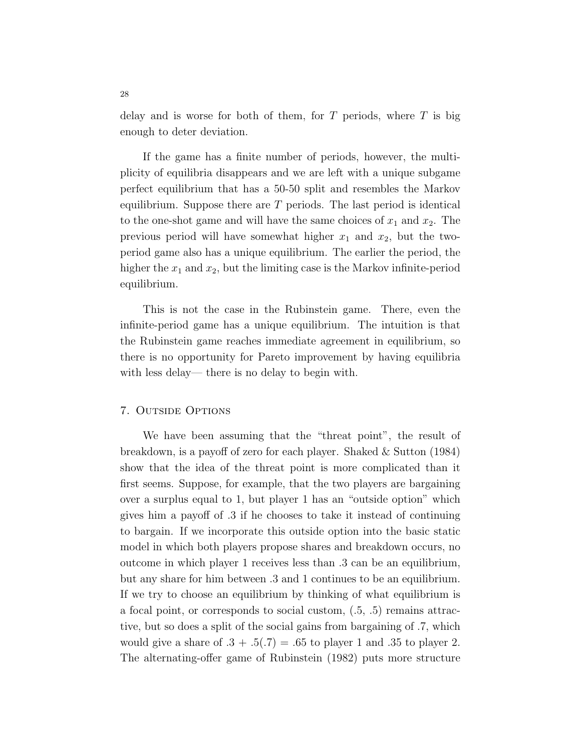delay and is worse for both of them, for  $T$  periods, where  $T$  is big enough to deter deviation.

If the game has a finite number of periods, however, the multiplicity of equilibria disappears and we are left with a unique subgame perfect equilibrium that has a 50-50 split and resembles the Markov equilibrium. Suppose there are  $T$  periods. The last period is identical to the one-shot game and will have the same choices of  $x_1$  and  $x_2$ . The previous period will have somewhat higher  $x_1$  and  $x_2$ , but the twoperiod game also has a unique equilibrium. The earlier the period, the higher the  $x_1$  and  $x_2$ , but the limiting case is the Markov infinite-period equilibrium.

This is not the case in the Rubinstein game. There, even the infinite-period game has a unique equilibrium. The intuition is that the Rubinstein game reaches immediate agreement in equilibrium, so there is no opportunity for Pareto improvement by having equilibria with less delay— there is no delay to begin with.

#### 7. Outside Options

We have been assuming that the "threat point", the result of breakdown, is a payoff of zero for each player. Shaked & Sutton (1984) show that the idea of the threat point is more complicated than it first seems. Suppose, for example, that the two players are bargaining over a surplus equal to 1, but player 1 has an "outside option" which gives him a payoff of .3 if he chooses to take it instead of continuing to bargain. If we incorporate this outside option into the basic static model in which both players propose shares and breakdown occurs, no outcome in which player 1 receives less than .3 can be an equilibrium, but any share for him between .3 and 1 continues to be an equilibrium. If we try to choose an equilibrium by thinking of what equilibrium is a focal point, or corresponds to social custom, (.5, .5) remains attractive, but so does a split of the social gains from bargaining of .7, which would give a share of  $.3 + .5(.7) = .65$  to player 1 and .35 to player 2. The alternating-offer game of Rubinstein (1982) puts more structure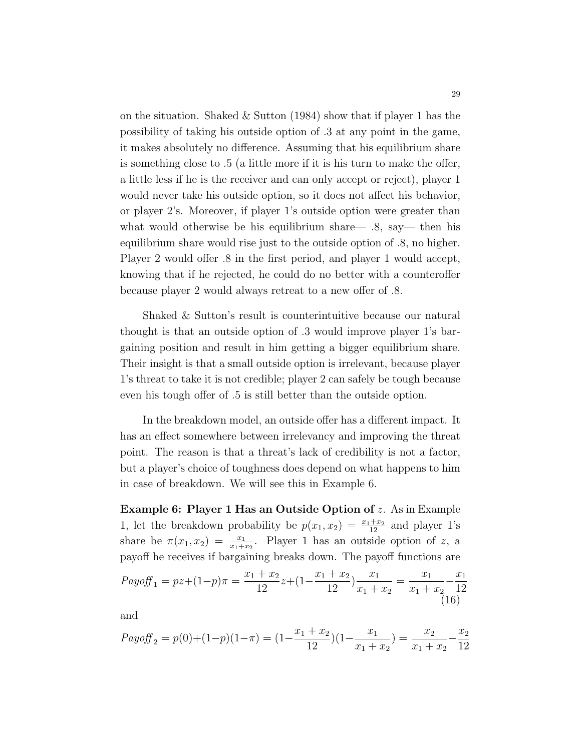on the situation. Shaked  $&$  Sutton (1984) show that if player 1 has the possibility of taking his outside option of .3 at any point in the game, it makes absolutely no difference. Assuming that his equilibrium share is something close to .5 (a little more if it is his turn to make the offer, a little less if he is the receiver and can only accept or reject), player 1 would never take his outside option, so it does not affect his behavior, or player 2's. Moreover, if player 1's outside option were greater than what would otherwise be his equilibrium share— .8, say— then his equilibrium share would rise just to the outside option of .8, no higher. Player 2 would offer .8 in the first period, and player 1 would accept, knowing that if he rejected, he could do no better with a counteroffer because player 2 would always retreat to a new offer of .8.

Shaked & Sutton's result is counterintuitive because our natural thought is that an outside option of .3 would improve player 1's bargaining position and result in him getting a bigger equilibrium share. Their insight is that a small outside option is irrelevant, because player 1's threat to take it is not credible; player 2 can safely be tough because even his tough offer of .5 is still better than the outside option.

In the breakdown model, an outside offer has a different impact. It has an effect somewhere between irrelevancy and improving the threat point. The reason is that a threat's lack of credibility is not a factor, but a player's choice of toughness does depend on what happens to him in case of breakdown. We will see this in Example 6.

Example 6: Player 1 Has an Outside Option of z. As in Example 1, let the breakdown probability be  $p(x_1, x_2) = \frac{x_1+x_2}{12}$  and player 1's share be  $\pi(x_1, x_2) = \frac{x_1}{x_1 + x_2}$ . Player 1 has an outside option of z, a payoff he receives if bargaining breaks down. The payoff functions are

<span id="page-29-0"></span>
$$
Payoff_1 = pz + (1-p)\pi = \frac{x_1 + x_2}{12}z + (1 - \frac{x_1 + x_2}{12})\frac{x_1}{x_1 + x_2} = \frac{x_1}{x_1 + x_2} - \frac{x_1}{12}
$$
\n(16)

and

$$
Payoff_2 = p(0) + (1-p)(1-\pi) = (1 - \frac{x_1 + x_2}{12})(1 - \frac{x_1}{x_1 + x_2}) = \frac{x_2}{x_1 + x_2} - \frac{x_2}{12}
$$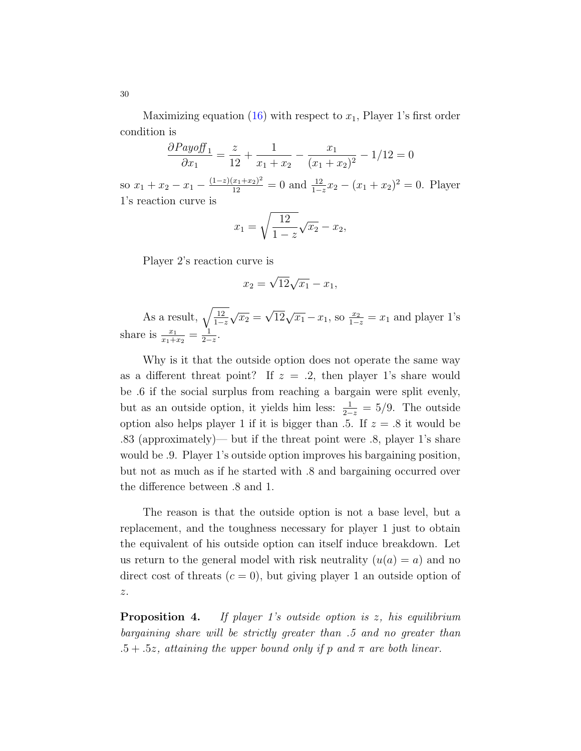Maximizing equation [\(16\)](#page-29-0) with respect to  $x_1$ , Player 1's first order condition is

$$
\frac{\partial Payoff_1}{\partial x_1} = \frac{z}{12} + \frac{1}{x_1 + x_2} - \frac{x_1}{(x_1 + x_2)^2} - \frac{1}{12} = 0
$$

so  $x_1 + x_2 - x_1 - \frac{(1-z)(x_1+x_2)^2}{12} = 0$  and  $\frac{12}{1-z}x_2 - (x_1+x_2)^2 = 0$ . Player 1's reaction curve is

$$
x_1 = \sqrt{\frac{12}{1-z}}\sqrt{x_2} - x_2,
$$

Player 2's reaction curve is

$$
x_2 = \sqrt{12}\sqrt{x_1} - x_1,
$$

As a result,  $\sqrt{\frac{12}{1-z}}$  $\sqrt{x_2} =$  $\sqrt{12}\sqrt{x_1} - x_1$ , so  $\frac{x_2}{1-z} = x_1$  and player 1's share is  $\frac{x_1}{x_1+x_2} = \frac{1}{2-1}$  $\frac{1}{2-z}$ .

Why is it that the outside option does not operate the same way as a different threat point? If  $z = .2$ , then player 1's share would be .6 if the social surplus from reaching a bargain were split evenly, but as an outside option, it yields him less:  $\frac{1}{2-z} = 5/9$ . The outside option also helps player 1 if it is bigger than  $.5$ . If  $z = .8$  it would be .83 (approximately)— but if the threat point were .8, player 1's share would be .9. Player 1's outside option improves his bargaining position, but not as much as if he started with .8 and bargaining occurred over the difference between .8 and 1.

The reason is that the outside option is not a base level, but a replacement, and the toughness necessary for player 1 just to obtain the equivalent of his outside option can itself induce breakdown. Let us return to the general model with risk neutrality  $(u(a) = a)$  and no direct cost of threats  $(c = 0)$ , but giving player 1 an outside option of  $\boldsymbol{z}.$ 

**Proposition 4.** If player 1's outside option is z, his equilibrium bargaining share will be strictly greater than .5 and no greater than  $.5 + .5z$ , attaining the upper bound only if p and  $\pi$  are both linear.

30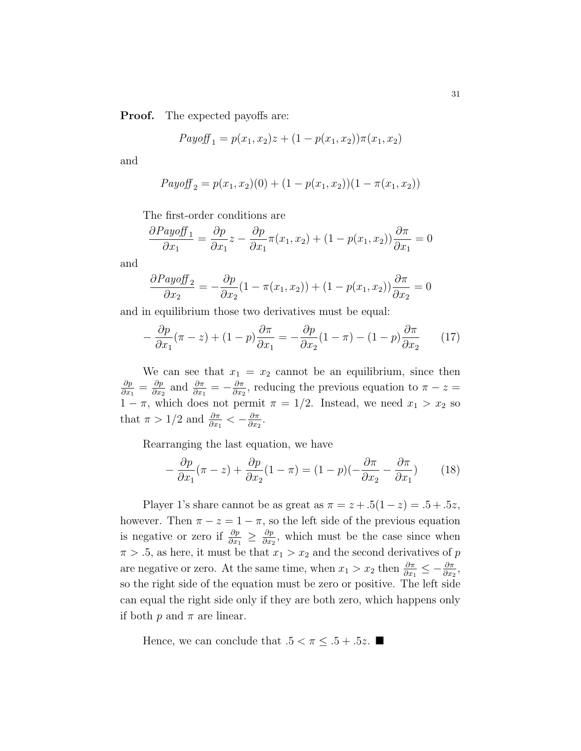**Proof.** The expected payoffs are:

$$
Payoff_{1} = p(x_{1}, x_{2})z + (1 - p(x_{1}, x_{2}))\pi(x_{1}, x_{2})
$$

and

$$
Payoff_2 = p(x_1, x_2)(0) + (1 - p(x_1, x_2))(1 - \pi(x_1, x_2))
$$

The first-order conditions are

$$
\frac{\partial Payoff_1}{\partial x_1} = \frac{\partial p}{\partial x_1}z - \frac{\partial p}{\partial x_1}\pi(x_1, x_2) + (1 - p(x_1, x_2))\frac{\partial \pi}{\partial x_1} = 0
$$

and

$$
\frac{\partial Payoff_2}{\partial x_2} = -\frac{\partial p}{\partial x_2} (1 - \pi(x_1, x_2)) + (1 - p(x_1, x_2)) \frac{\partial \pi}{\partial x_2} = 0
$$

and in equilibrium those two derivatives must be equal:

<span id="page-31-0"></span>
$$
-\frac{\partial p}{\partial x_1}(\pi - z) + (1 - p)\frac{\partial \pi}{\partial x_1} = -\frac{\partial p}{\partial x_2}(1 - \pi) - (1 - p)\frac{\partial \pi}{\partial x_2} \tag{17}
$$

We can see that  $x_1 = x_2$  cannot be an equilibrium, since then ∂p  $\frac{\partial p}{\partial x_1} = \frac{\partial p}{\partial x_2}$  $\frac{\partial p}{\partial x_2}$  and  $\frac{\partial \pi}{\partial x_1} = -\frac{\partial \pi}{\partial x_2}$  $\frac{\partial \pi}{\partial x_2}$ , reducing the previous equation to  $\pi - z =$  $1 - \pi$ , which does not permit  $\pi = 1/2$ . Instead, we need  $x_1 > x_2$  so that  $\pi > 1/2$  and  $\frac{\partial \pi}{\partial x_1} < -\frac{\partial \pi}{\partial x_2}$  $\frac{\partial \pi}{\partial x_2}$ .

Rearranging the last equation, we have

$$
-\frac{\partial p}{\partial x_1}(\pi - z) + \frac{\partial p}{\partial x_2}(1 - \pi) = (1 - p)(-\frac{\partial \pi}{\partial x_2} - \frac{\partial \pi}{\partial x_1})
$$
(18)

Player 1's share cannot be as great as  $\pi = z + .5(1-z) = .5 + .5z$ , however. Then  $\pi - z = 1 - \pi$ , so the left side of the previous equation is negative or zero if  $\frac{\partial p}{\partial x_1} \geq \frac{\partial p}{\partial x_2}$  $\frac{\partial p}{\partial x_2}$ , which must be the case since when  $\pi > 0.5$ , as here, it must be that  $x_1 > x_2$  and the second derivatives of p are negative or zero. At the same time, when  $x_1 > x_2$  then  $\frac{\partial \pi}{\partial x_1} \leq -\frac{\partial \pi}{\partial x_2}$ , so the right side of the equation must be zero or positive. The left side can equal the right side only if they are both zero, which happens only if both  $p$  and  $\pi$  are linear.

Hence, we can conclude that  $.5 < \pi \leq .5 + .5z$ .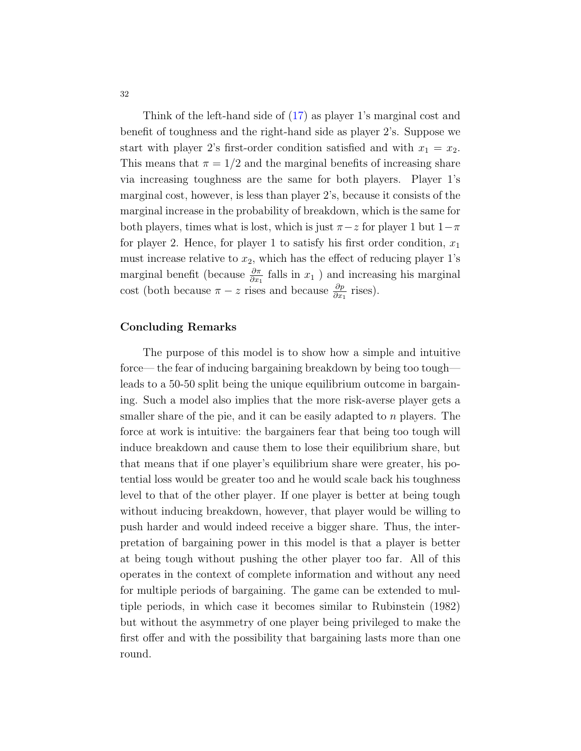Think of the left-hand side of [\(17\)](#page-31-0) as player 1's marginal cost and benefit of toughness and the right-hand side as player 2's. Suppose we start with player 2's first-order condition satisfied and with  $x_1 = x_2$ . This means that  $\pi = 1/2$  and the marginal benefits of increasing share via increasing toughness are the same for both players. Player 1's marginal cost, however, is less than player 2's, because it consists of the marginal increase in the probability of breakdown, which is the same for both players, times what is lost, which is just  $\pi$  – z for player 1 but  $1-\pi$ for player 2. Hence, for player 1 to satisfy his first order condition,  $x_1$ must increase relative to  $x_2$ , which has the effect of reducing player 1's marginal benefit (because  $\frac{\partial \pi}{\partial x_1}$  falls in  $x_1$ ) and increasing his marginal cost (both because  $\pi - z$  rises and because  $\frac{\partial p}{\partial x_1}$  rises).

#### Concluding Remarks

The purpose of this model is to show how a simple and intuitive force— the fear of inducing bargaining breakdown by being too tough leads to a 50-50 split being the unique equilibrium outcome in bargaining. Such a model also implies that the more risk-averse player gets a smaller share of the pie, and it can be easily adapted to  $n$  players. The force at work is intuitive: the bargainers fear that being too tough will induce breakdown and cause them to lose their equilibrium share, but that means that if one player's equilibrium share were greater, his potential loss would be greater too and he would scale back his toughness level to that of the other player. If one player is better at being tough without inducing breakdown, however, that player would be willing to push harder and would indeed receive a bigger share. Thus, the interpretation of bargaining power in this model is that a player is better at being tough without pushing the other player too far. All of this operates in the context of complete information and without any need for multiple periods of bargaining. The game can be extended to multiple periods, in which case it becomes similar to Rubinstein (1982) but without the asymmetry of one player being privileged to make the first offer and with the possibility that bargaining lasts more than one round.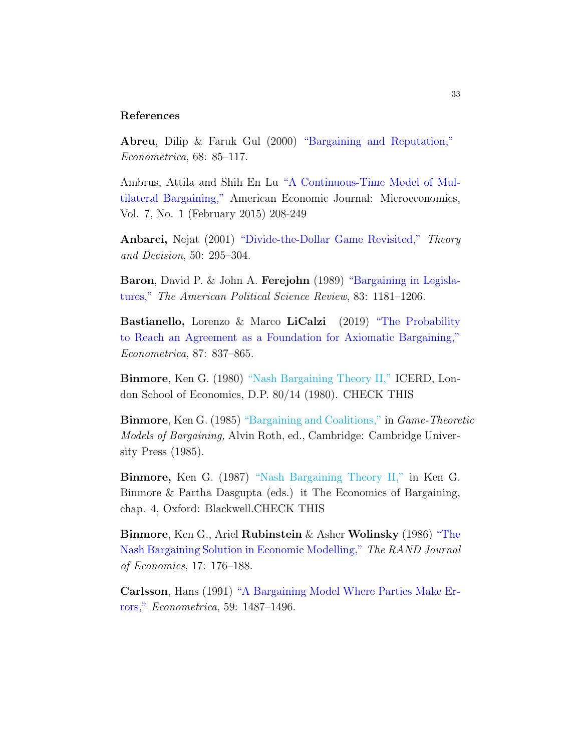#### References

Abreu, Dilip & Faruk Gul (2000) ["Bargaining and Reputation,"](https://onlinelibrary.wiley.com/doi/pdf/10.1111/1468-0262.00094 ) Econometrica, 68: 85–117.

Ambrus, Attila and Shih En Lu ["A Continuous-Time Model of Mul](https://www.jstor.org/stable/24467041 )[tilateral Bargaining,"](https://www.jstor.org/stable/24467041 ) American Economic Journal: Microeconomics, Vol. 7, No. 1 (February 2015) 208-249

Anbarci, Nejat (2001) ["Divide-the-Dollar Game Revisited,"](https://link.springer.com/content/pdf/10.1023/A:1010363409312.pdf ) Theory and Decision, 50: 295–304.

Baron, David P. & John A. Ferejohn (1989) ["Bargaining in Legisla](https://www.uibk.ac.at/economics/bbl/lit_se/papieress08/baron_ferejohn(1989).pdf )[tures,"](https://www.uibk.ac.at/economics/bbl/lit_se/papieress08/baron_ferejohn(1989).pdf ) The American Political Science Review, 83: 1181–1206.

Bastianello, Lorenzo & Marco LiCalzi (2019) ["The Probability](https://doi.org/10.3982/ECTA13673 ) [to Reach an Agreement as a Foundation for Axiomatic Bargaining,"](https://doi.org/10.3982/ECTA13673 ) Econometrica, 87: 837–865.

Binmore, Ken G. (1980) ["Nash Bargaining Theory II,"](#page-0-0) ICERD, London School of Economics, D.P. 80/14 (1980). CHECK THIS

Binmore, Ken G. (1985) ["Bargaining and Coalitions,"](#page-0-0) in Game-Theoretic Models of Bargaining, Alvin Roth, ed., Cambridge: Cambridge University Press (1985).

Binmore, Ken G. (1987) ["Nash Bargaining Theory II,"](#page-0-0) in Ken G. Binmore & Partha Dasgupta (eds.) it The Economics of Bargaining, chap. 4, Oxford: Blackwell.CHECK THIS

Binmore, Ken G., Ariel Rubinstein & Asher Wolinsky (1986) ["The](https://www.jstor.org/stable/2555382 ) [Nash Bargaining Solution in Economic Modelling,"](https://www.jstor.org/stable/2555382 ) The RAND Journal of Economics, 17: 176–188.

Carlsson, Hans (1991) ["A Bargaining Model Where Parties Make Er](https://www.jstor.org/stable/2938376 )[rors,"](https://www.jstor.org/stable/2938376 ) Econometrica, 59: 1487–1496.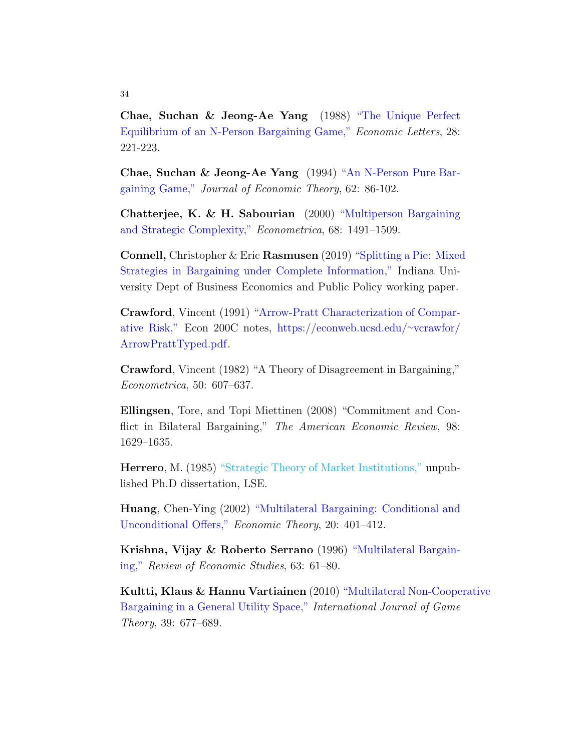Chae, Suchan & Jeong-Ae Yang (1988) ["The Unique Perfect](https://doi.org/10.1016/0165-1765(88)90118-8 ) [Equilibrium of an N-Person Bargaining Game,"](https://doi.org/10.1016/0165-1765(88)90118-8 ) Economic Letters, 28: 221-223.

Chae, Suchan & Jeong-Ae Yang (1994) ["An N-Person Pure Bar](https://doi.org/10.1006/jeth.1994.1005 )[gaining Game,"](https://doi.org/10.1006/jeth.1994.1005 ) Journal of Economic Theory, 62: 86-102.

Chatterjee, K. & H. Sabourian (2000) ["Multiperson Bargaining](https://onlinelibrary.wiley.com/doi/pdf/10.1111/1468-0262.00169 ) [and Strategic Complexity,"](https://onlinelibrary.wiley.com/doi/pdf/10.1111/1468-0262.00169 ) Econometrica, 68: 1491–1509.

Connell, Christopher & Eric Rasmusen (2019) ["Splitting a Pie: Mixed](http://www.rasmusen.org/papers/mixedpie.pdf ) [Strategies in Bargaining under Complete Information,"](http://www.rasmusen.org/papers/mixedpie.pdf ) Indiana University Dept of Business Economics and Public Policy working paper.

Crawford, Vincent (1991) ["Arrow-Pratt Characterization of Compar](https://econweb.ucsd.edu/~vcrawfor/ArrowPrattTyped.pdf )[ative Risk,"](https://econweb.ucsd.edu/~vcrawfor/ArrowPrattTyped.pdf ) Econ 200C notes, [https://econweb.ucsd.edu/](https://econweb.ucsd.edu/~vcrawfor/ArrowPrattTyped.pdf)∼vcrawfor/ [ArrowPrattTyped.pdf.](https://econweb.ucsd.edu/~vcrawfor/ArrowPrattTyped.pdf)

Crawford, Vincent (1982) "A Theory of Disagreement in Bargaining," Econometrica, 50: 607–637.

Ellingsen, Tore, and Topi Miettinen (2008) "Commitment and Conflict in Bilateral Bargaining," The American Economic Review, 98: 1629–1635.

Herrero, M. (1985) ["Strategic Theory of Market Institutions,"](#page-0-0) unpublished Ph.D dissertation, LSE.

Huang, Chen-Ying (2002) ["Multilateral Bargaining: Conditional and](https://link.springer.com/content/pdf/10.1007 2Fs001990100192.pdf ) [Unconditional Offers,"](https://link.springer.com/content/pdf/10.1007 2Fs001990100192.pdf ) Economic Theory, 20: 401–412.

Krishna, Vijay & Roberto Serrano (1996) ["Multilateral Bargain](https://doi.org/10.2307/2298115 )[ing,"](https://doi.org/10.2307/2298115 ) Review of Economic Studies, 63: 61–80.

Kultti, Klaus & Hannu Vartiainen (2010) ["Multilateral Non-Coope](https://link.springer.com/article/10.1007/s00182-009-0212-3 )rative [Bargaining in a General Utility Space,"](https://link.springer.com/article/10.1007/s00182-009-0212-3 ) International Journal of Game Theory, 39: 677–689.

#### 34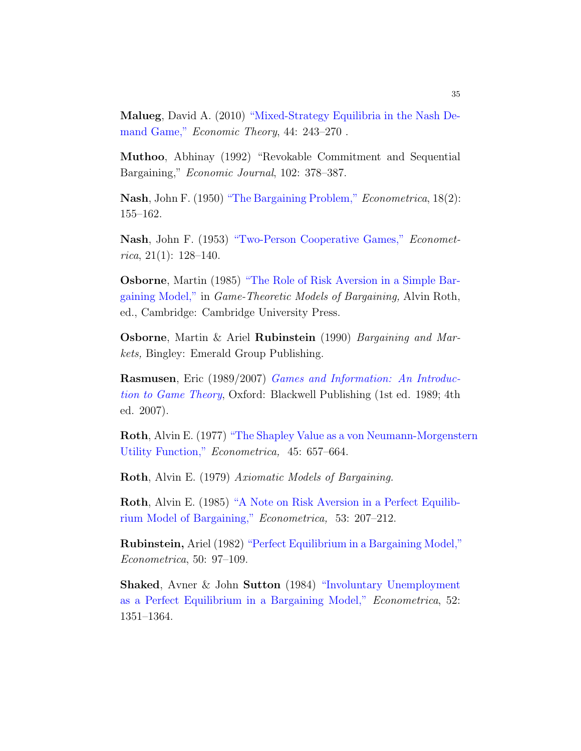Malueg, David A. (2010) ["Mixed-Strategy Equilibria in the Nash De](https://link.springer.com/article/10.1007/s00199-009-0478-5 )[mand Game,"](https://link.springer.com/article/10.1007/s00199-009-0478-5 ) Economic Theory, 44: 243–270 .

Muthoo, Abhinay (1992) "Revokable Commitment and Sequential Bargaining," Economic Journal, 102: 378–387.

Nash, John F. (1950) ["The Bargaining Problem,"]( https://www.jstor.org/stable/1907266) Econometrica, 18(2): 155–162.

Nash, John F. (1953) ["Two-Person Cooperative Games,"](https://www.jstor.org/stable/1906951 ) Econometrica, 21(1):  $128-140$ .

Osborne, Martin (1985) ["The Role of Risk Aversion in a Simple Bar](https://books.google.com/books?hl=en&lr=&id=zY0Ljv6AeV8C&oi=fnd&pg=PA181&dq=Osborne%7D,++Martin+(1985)++%5Chref%7B+%7D+%7B+%60%60The+Role+of+Risk+Aversion+in+a+Simple+Bargaining+Model,&ots=RfUmVZHale&sig=djo2DIJgMewbaYtTCjiRvDKTFow#v=onepage&q&f=false )[gaining Model,"](https://books.google.com/books?hl=en&lr=&id=zY0Ljv6AeV8C&oi=fnd&pg=PA181&dq=Osborne%7D,++Martin+(1985)++%5Chref%7B+%7D+%7B+%60%60The+Role+of+Risk+Aversion+in+a+Simple+Bargaining+Model,&ots=RfUmVZHale&sig=djo2DIJgMewbaYtTCjiRvDKTFow#v=onepage&q&f=false ) in Game-Theoretic Models of Bargaining, Alvin Roth, ed., Cambridge: Cambridge University Press.

Osborne, Martin & Ariel Rubinstein (1990) Bargaining and Markets, Bingley: Emerald Group Publishing.

Rasmusen, Eric (1989/2007) [Games and Information: An Introduc]( http://www.rasmusen.org/GI/index.html)[tion to Game Theory]( http://www.rasmusen.org/GI/index.html), Oxford: Blackwell Publishing (1st ed. 1989; 4th ed. 2007).

Roth, Alvin E. (1977) ["The Shapley Value as a von Neumann-Morgenst]( http://web.stanford.edu/~alroth/papers/1977_E_Shapley_Value_as.pdf)ern [Utility Function,"]( http://web.stanford.edu/~alroth/papers/1977_E_Shapley_Value_as.pdf) Econometrica, 45: 657–664.

Roth, Alvin E. (1979) Axiomatic Models of Bargaining.

Roth, Alvin E. (1985) ["A Note on Risk Aversion in a Perfect Equilib](https://www.jstor.org/stable/1911733 )[rium Model of Bargaining,"](https://www.jstor.org/stable/1911733 ) Econometrica, 53: 207–212.

Rubinstein, Ariel (1982) ["Perfect Equilibrium in a Bargaining Model,"]( https://www.jstor.org/stable/1912531 ) Econometrica, 50: 97–109.

Shaked, Avner & John Sutton (1984) ["Involuntary Unemployment](https://www.jstor.org/stable/1913509 ) [as a Perfect Equilibrium in a Bargaining Model,"](https://www.jstor.org/stable/1913509 ) Econometrica, 52: 1351–1364.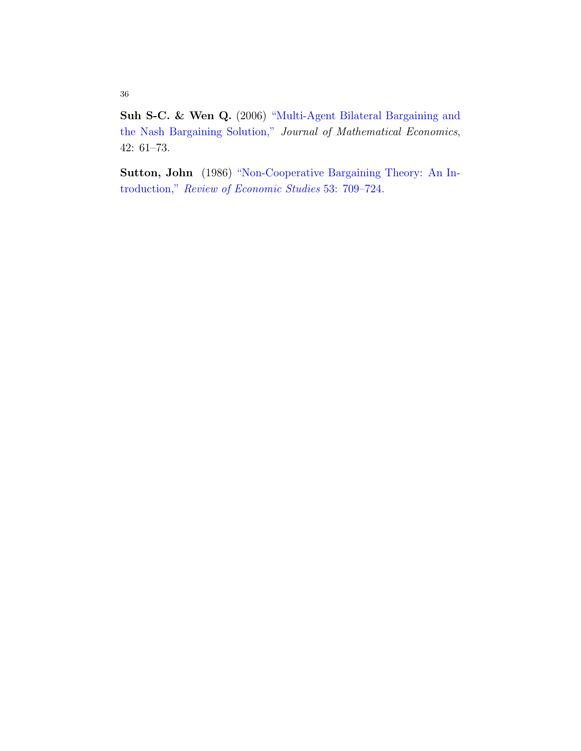Suh S-C. & Wen Q. (2006) ["Multi-Agent Bilateral Bargaining and](https://reader.elsevier.com/reader/sd/pii/S0304406805000674?token=06D38172E422AA896E357AFF068D31408DE0B3945EAB7DA6DC82EB00ADE205BAD60F11283C4B4DBFAEBF25C7B462BBE0 ) [the Nash Bargaining Solution,"](https://reader.elsevier.com/reader/sd/pii/S0304406805000674?token=06D38172E422AA896E357AFF068D31408DE0B3945EAB7DA6DC82EB00ADE205BAD60F11283C4B4DBFAEBF25C7B462BBE0 ) Journal of Mathematical Economics, 42: 61–73.

Sutton, John (1986) ["Non-Cooperative Bargaining Theory: An In](https://watermark.silverchair.com/53-5-709.pdf?token=AQECAHi208BE49Ooan9kkhW_Ercy7Dm3ZL_9Cf3qfKAc485ysgAAAmcwggJjBgkqhkiG9w0BBwagggJUMIICUAIBADCCAkkGCSqGSIb3DQEHATAeBglghkgBZQMEAS4wEQQMWpW28TkNEIH56uV2AgEQgIICGr6V1hJTg6enyUtZg9Vcwf6Bc-NK9IzmaqEnoCiLwS63K14EkfsLXOFqADWD1YmvLjjkO3v_Rdcc-zgPXKY3uCjb0dfdZUwKhAYuupLXXvi65DM6jdQQY4_WpYDM_XBOcVz1SuzCx-Kr7ewY8d8paHeL8BZycqWK3zD3zhLSZ1GndMlAxOt1BYnZcVz_4QbATzCBbz8dVhWyIZlwj4rM7WHAThVvKoRNp1GuA_rYT56BRenLmO1_26Fk0Stx8sM5K7PgbfNQXKkH2M0QacxCymXUFVLxdJ2M_6_Wt0yRKrBQmcq2tuvLQkBAn3LkG2M5X-xiV254craqR7_Jp5hz2VHJ5srxSk7do8k-4zUB3fikz6NN8VoYMl0ZktRqOSGtgcMtHI-KNlT8yRLBM7nzAbVsPUKBJBQctwnXpuAiI3YWBdy_KwNredovSZcZBv9LaM_AbVvXPckGhX0r81j7o2D4liSXVmZI5mMjr4hldNjbKSH5UwWiPsrL_8SnOvDvNUAo6dc-6ujMubBwoiOOtNbyApsiAlxuSwlo0g3StaGPwef4o21eJO77ivxq9dbfpPCn0BWaAPt02n9fDXJ0QWZf8d-BeSSD1iPaTd1-73Bb0p5QNhkIr9UcwHtjX0daP8T0Cj4TW8-HwpLH8vUF4m31QIvUb_lAiTtrcN3seieYAareU18Fo25PhKymzKRdeHVNOKDyF9tL5uw )troduction," [Review of Economic Studies](https://watermark.silverchair.com/53-5-709.pdf?token=AQECAHi208BE49Ooan9kkhW_Ercy7Dm3ZL_9Cf3qfKAc485ysgAAAmcwggJjBgkqhkiG9w0BBwagggJUMIICUAIBADCCAkkGCSqGSIb3DQEHATAeBglghkgBZQMEAS4wEQQMWpW28TkNEIH56uV2AgEQgIICGr6V1hJTg6enyUtZg9Vcwf6Bc-NK9IzmaqEnoCiLwS63K14EkfsLXOFqADWD1YmvLjjkO3v_Rdcc-zgPXKY3uCjb0dfdZUwKhAYuupLXXvi65DM6jdQQY4_WpYDM_XBOcVz1SuzCx-Kr7ewY8d8paHeL8BZycqWK3zD3zhLSZ1GndMlAxOt1BYnZcVz_4QbATzCBbz8dVhWyIZlwj4rM7WHAThVvKoRNp1GuA_rYT56BRenLmO1_26Fk0Stx8sM5K7PgbfNQXKkH2M0QacxCymXUFVLxdJ2M_6_Wt0yRKrBQmcq2tuvLQkBAn3LkG2M5X-xiV254craqR7_Jp5hz2VHJ5srxSk7do8k-4zUB3fikz6NN8VoYMl0ZktRqOSGtgcMtHI-KNlT8yRLBM7nzAbVsPUKBJBQctwnXpuAiI3YWBdy_KwNredovSZcZBv9LaM_AbVvXPckGhX0r81j7o2D4liSXVmZI5mMjr4hldNjbKSH5UwWiPsrL_8SnOvDvNUAo6dc-6ujMubBwoiOOtNbyApsiAlxuSwlo0g3StaGPwef4o21eJO77ivxq9dbfpPCn0BWaAPt02n9fDXJ0QWZf8d-BeSSD1iPaTd1-73Bb0p5QNhkIr9UcwHtjX0daP8T0Cj4TW8-HwpLH8vUF4m31QIvUb_lAiTtrcN3seieYAareU18Fo25PhKymzKRdeHVNOKDyF9tL5uw ) 53: 709–724.

36